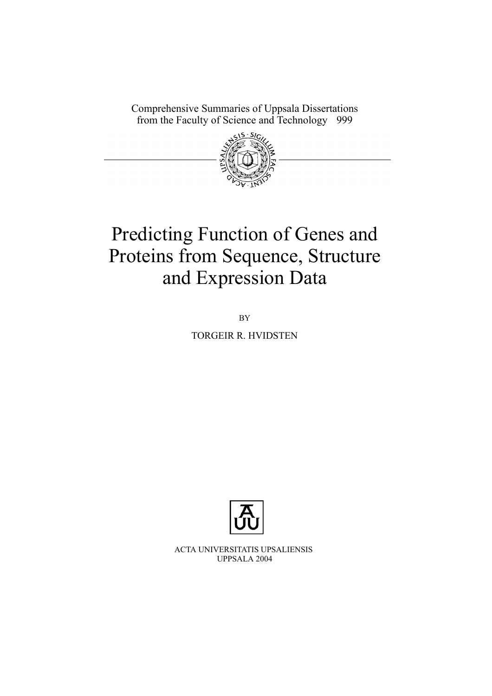Comprehensive Summaries of Uppsala Dissertations from the Faculty of Science and Technology 999



# Predicting Function of Genes and Proteins from Sequence, Structure and Expression Data

BY

TORGEIR R. HVIDSTEN



ACTA UNIVERSITATIS UPSALIENSIS UPPSALA 2004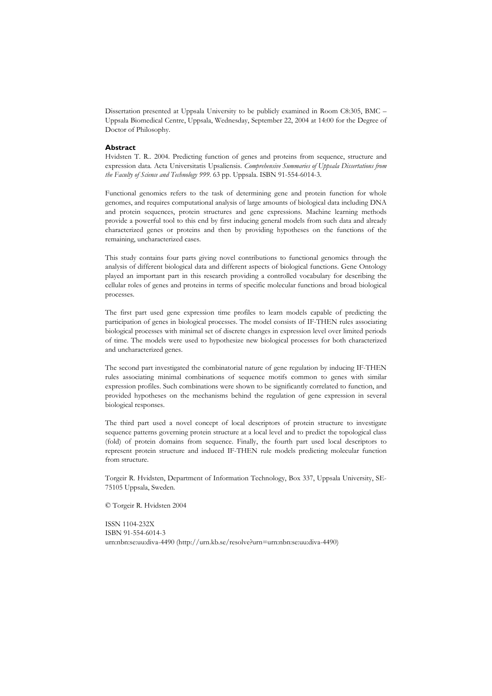Dissertation presented at Uppsala University to be publicly examined in Room C8:305, BMC – Uppsala Biomedical Centre, Uppsala, Wednesday, September 22, 2004 at 14:00 for the Degree of Doctor of Philosophy.

#### **Abstract**

Hvidsten T. R.. 2004. Predicting function of genes and proteins from sequence, structure and expression data. Acta Universitatis Upsaliensis. *Comprehensive Summaries of Uppsala Dissertations from the Faculty of Science and Technology 999.* 63 pp. Uppsala. ISBN 91-554-6014-3.

Functional genomics refers to the task of determining gene and protein function for whole genomes, and requires computational analysis of large amounts of biological data including DNA and protein sequences, protein structures and gene expressions. Machine learning methods provide a powerful tool to this end by first inducing general models from such data and already characterized genes or proteins and then by providing hypotheses on the functions of the remaining, uncharacterized cases.

This study contains four parts giving novel contributions to functional genomics through the analysis of different biological data and different aspects of biological functions. Gene Ontology played an important part in this research providing a controlled vocabulary for describing the cellular roles of genes and proteins in terms of specific molecular functions and broad biological processes.

The first part used gene expression time profiles to learn models capable of predicting the participation of genes in biological processes. The model consists of IF-THEN rules associating biological processes with minimal set of discrete changes in expression level over limited periods of time. The models were used to hypothesize new biological processes for both characterized and uncharacterized genes.

The second part investigated the combinatorial nature of gene regulation by inducing IF-THEN rules associating minimal combinations of sequence motifs common to genes with similar expression profiles. Such combinations were shown to be significantly correlated to function, and provided hypotheses on the mechanisms behind the regulation of gene expression in several biological responses.

The third part used a novel concept of local descriptors of protein structure to investigate sequence patterns governing protein structure at a local level and to predict the topological class (fold) of protein domains from sequence. Finally, the fourth part used local descriptors to represent protein structure and induced IF-THEN rule models predicting molecular function from structure.

Torgeir R. Hvidsten, Department of Information Technology, Box 337, Uppsala University, SE-75105 Uppsala, Sweden.

© Torgeir R. Hvidsten 2004

ISSN 1104-232X ISBN 91-554-6014-3 urn:nbn:se:uu:diva-4490 (http://urn.kb.se/resolve?urn=urn:nbn:se:uu:diva-4490)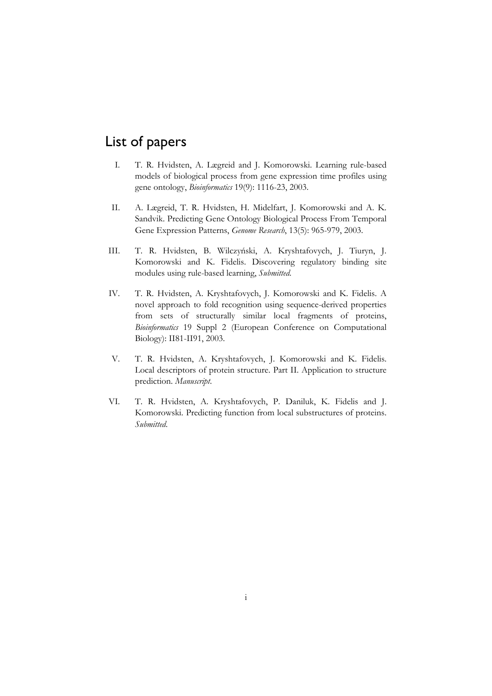# List of papers

- I. T. R. Hvidsten, A. Lægreid and J. Komorowski. Learning rule-based models of biological process from gene expression time profiles using gene ontology, *Bioinformatics* 19(9): 1116-23, 2003.
- II. A. Lægreid, T. R. Hvidsten, H. Midelfart, J. Komorowski and A. K. Sandvik. Predicting Gene Ontology Biological Process From Temporal Gene Expression Patterns, *Genome Research*, 13(5): 965-979, 2003.
- III. T. R. Hvidsten, B. Wilczyľski, A. Kryshtafovych, J. Tiuryn, J. Komorowski and K. Fidelis. Discovering regulatory binding site modules using rule-based learning, *Submitted*.
- IV. T. R. Hvidsten, A. Kryshtafovych, J. Komorowski and K. Fidelis. A novel approach to fold recognition using sequence-derived properties from sets of structurally similar local fragments of proteins, *Bioinformatics* 19 Suppl 2 (European Conference on Computational Biology): II81-II91, 2003.
- V. T. R. Hvidsten, A. Kryshtafovych, J. Komorowski and K. Fidelis. Local descriptors of protein structure. Part II. Application to structure prediction. *Manuscript*.
- VI. T. R. Hvidsten, A. Kryshtafovych, P. Daniluk, K. Fidelis and J. Komorowski. Predicting function from local substructures of proteins. *Submitted*.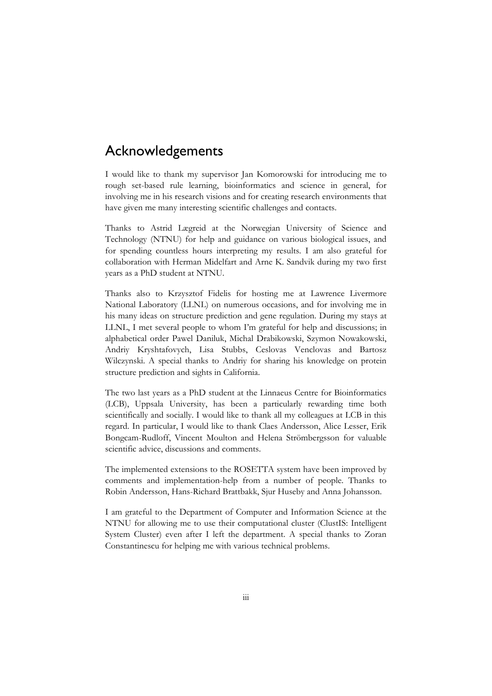# Acknowledgements

I would like to thank my supervisor Jan Komorowski for introducing me to rough set-based rule learning, bioinformatics and science in general, for involving me in his research visions and for creating research environments that have given me many interesting scientific challenges and contacts.

Thanks to Astrid Lægreid at the Norwegian University of Science and Technology (NTNU) for help and guidance on various biological issues, and for spending countless hours interpreting my results. I am also grateful for collaboration with Herman Midelfart and Arne K. Sandvik during my two first years as a PhD student at NTNU.

Thanks also to Krzysztof Fidelis for hosting me at Lawrence Livermore National Laboratory (LLNL) on numerous occasions, and for involving me in his many ideas on structure prediction and gene regulation. During my stays at LLNL, I met several people to whom I'm grateful for help and discussions; in alphabetical order Pawel Daniluk, Michal Drabikowski, Szymon Nowakowski, Andriy Kryshtafovych, Lisa Stubbs, Ceslovas Venclovas and Bartosz Wilczynski. A special thanks to Andriy for sharing his knowledge on protein structure prediction and sights in California.

The two last years as a PhD student at the Linnaeus Centre for Bioinformatics (LCB), Uppsala University, has been a particularly rewarding time both scientifically and socially. I would like to thank all my colleagues at LCB in this regard. In particular, I would like to thank Claes Andersson, Alice Lesser, Erik Bongcam-Rudloff, Vincent Moulton and Helena Strömbergsson for valuable scientific advice, discussions and comments.

The implemented extensions to the ROSETTA system have been improved by comments and implementation-help from a number of people. Thanks to Robin Andersson, Hans-Richard Brattbakk, Sjur Huseby and Anna Johansson.

I am grateful to the Department of Computer and Information Science at the NTNU for allowing me to use their computational cluster (ClustIS: Intelligent System Cluster) even after I left the department. A special thanks to Zoran Constantinescu for helping me with various technical problems.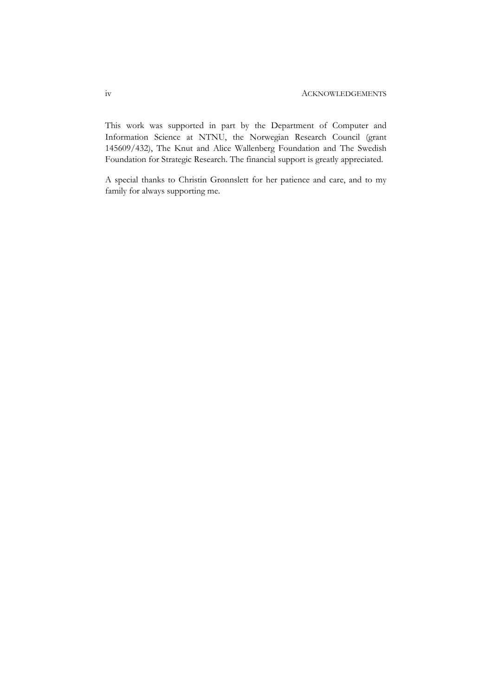This work was supported in part by the Department of Computer and Information Science at NTNU, the Norwegian Research Council (grant 145609/432), The Knut and Alice Wallenberg Foundation and The Swedish Foundation for Strategic Research. The financial support is greatly appreciated.

A special thanks to Christin Grønnslett for her patience and care, and to my family for always supporting me.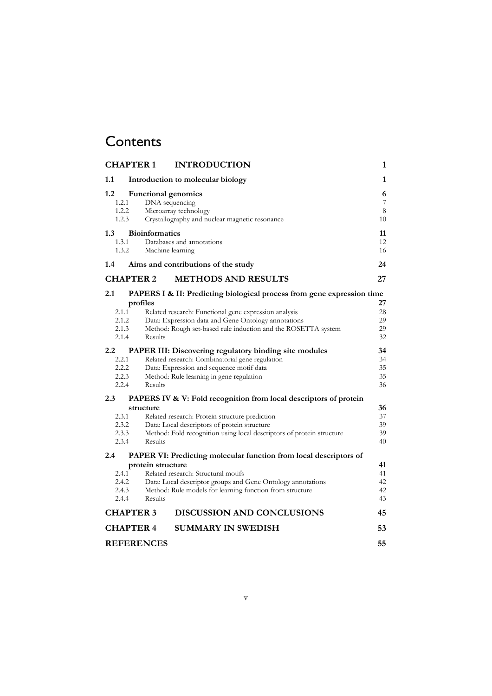# **Contents**

| <b>CHAPTER 1</b>                                                         | <b>INTRODUCTION</b>                                                                                                                                                                                                                                                            | 1                          |
|--------------------------------------------------------------------------|--------------------------------------------------------------------------------------------------------------------------------------------------------------------------------------------------------------------------------------------------------------------------------|----------------------------|
| 1.1                                                                      | Introduction to molecular biology                                                                                                                                                                                                                                              | 1                          |
| $1.2\,$<br>1.2.1<br>1.2.2<br>1.2.3                                       | <b>Functional genomics</b><br>DNA sequencing<br>Microarray technology<br>Crystallography and nuclear magnetic resonance                                                                                                                                                        | 6<br>7<br>8<br>10          |
| 1.3<br>1.3.1<br>1.3.2                                                    | <b>Bioinformatics</b><br>Databases and annotations<br>Machine learning                                                                                                                                                                                                         | 11<br>12<br>16             |
| 1.4                                                                      | Aims and contributions of the study                                                                                                                                                                                                                                            | 24                         |
| <b>CHAPTER 2</b>                                                         | <b>METHODS AND RESULTS</b>                                                                                                                                                                                                                                                     | 27                         |
| 2.1<br>2.1.1<br>2.1.2<br>2.1.3<br>2.1.4                                  | PAPERS I & II: Predicting biological process from gene expression time<br>profiles<br>Related research: Functional gene expression analysis<br>Data: Expression data and Gene Ontology annotations<br>Method: Rough set-based rule induction and the ROSETTA system<br>Results | 27<br>28<br>29<br>29<br>32 |
| $2.2\phantom{0}$<br>2.2.1<br>2.2.2<br>2.2.3<br>2.2.4                     | PAPER III: Discovering regulatory binding site modules<br>Related research: Combinatorial gene regulation<br>Data: Expression and sequence motif data<br>Method: Rule learning in gene regulation<br>Results                                                                   | 34<br>34<br>35<br>35<br>36 |
| 2.3<br>PAPERS IV & V: Fold recognition from local descriptors of protein |                                                                                                                                                                                                                                                                                |                            |
| 2.3.1<br>2.3.2<br>2.3.3<br>2.3.4                                         | structure<br>Related research: Protein structure prediction<br>Data: Local descriptors of protein structure<br>Method: Fold recognition using local descriptors of protein structure<br>Results                                                                                | 36<br>37<br>39<br>39<br>40 |
| 2.4<br>PAPER VI: Predicting molecular function from local descriptors of |                                                                                                                                                                                                                                                                                |                            |
| 2.4.1<br>2.4.2<br>2.4.3<br>2.4.4                                         | protein structure<br>Related research: Structural motifs<br>Data: Local descriptor groups and Gene Ontology annotations<br>Method: Rule models for learning function from structure<br>Results                                                                                 | 41<br>41<br>42<br>42<br>43 |
| <b>CHAPTER 3</b><br><b>DISCUSSION AND CONCLUSIONS</b>                    |                                                                                                                                                                                                                                                                                | 45                         |
| <b>SUMMARY IN SWEDISH</b><br><b>CHAPTER 4</b>                            |                                                                                                                                                                                                                                                                                | 53                         |
| <b>REFERENCES</b>                                                        |                                                                                                                                                                                                                                                                                | 55                         |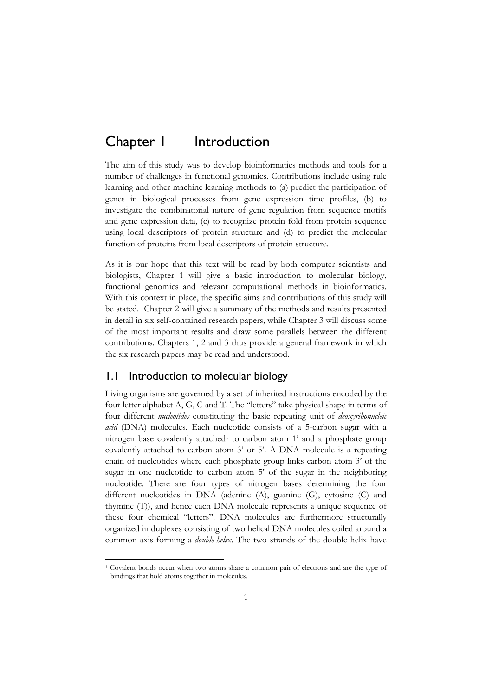# Chapter I Introduction

The aim of this study was to develop bioinformatics methods and tools for a number of challenges in functional genomics. Contributions include using rule learning and other machine learning methods to (a) predict the participation of genes in biological processes from gene expression time profiles, (b) to investigate the combinatorial nature of gene regulation from sequence motifs and gene expression data, (c) to recognize protein fold from protein sequence using local descriptors of protein structure and (d) to predict the molecular function of proteins from local descriptors of protein structure.

As it is our hope that this text will be read by both computer scientists and biologists, Chapter 1 will give a basic introduction to molecular biology, functional genomics and relevant computational methods in bioinformatics. With this context in place, the specific aims and contributions of this study will be stated. Chapter 2 will give a summary of the methods and results presented in detail in six self-contained research papers, while Chapter 3 will discuss some of the most important results and draw some parallels between the different contributions. Chapters 1, 2 and 3 thus provide a general framework in which the six research papers may be read and understood.

# 1.1 Introduction to molecular biology

Living organisms are governed by a set of inherited instructions encoded by the four letter alphabet A, G, C and T. The "letters" take physical shape in terms of four different *nucleotides* constituting the basic repeating unit of *deoxyribonucleic acid* (DNA) molecules. Each nucleotide consists of a 5-carbon sugar with a nitrogen base covalently attached<sup>1</sup> to carbon atom 1' and a phosphate group covalently attached to carbon atom 3' or 5'. A DNA molecule is a repeating chain of nucleotides where each phosphate group links carbon atom 3' of the sugar in one nucleotide to carbon atom 5' of the sugar in the neighboring nucleotide. There are four types of nitrogen bases determining the four different nucleotides in DNA (adenine (A), guanine (G), cytosine (C) and thymine (T)), and hence each DNA molecule represents a unique sequence of these four chemical "letters". DNA molecules are furthermore structurally organized in duplexes consisting of two helical DNA molecules coiled around a common axis forming a *double helix*. The two strands of the double helix have

<sup>1</sup> Covalent bonds occur when two atoms share a common pair of electrons and are the type of bindings that hold atoms together in molecules.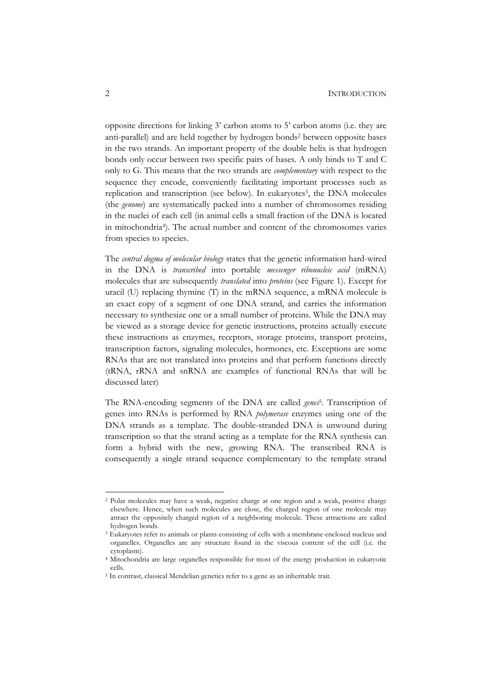opposite directions for linking 3' carbon atoms to 5' carbon atoms (i.e. they are anti-parallel) and are held together by hydrogen bonds2 between opposite bases in the two strands. An important property of the double helix is that hydrogen bonds only occur between two specific pairs of bases. A only binds to T and C only to G. This means that the two strands are *complementary* with respect to the sequence they encode, conveniently facilitating important processes such as replication and transcription (see below). In eukaryotes<sup>3</sup>, the DNA molecules (the *genome*) are systematically packed into a number of chromosomes residing in the nuclei of each cell (in animal cells a small fraction of the DNA is located in mitochondria4). The actual number and content of the chromosomes varies from species to species.

The *central dogma of molecular biology* states that the genetic information hard-wired in the DNA is *transcribed* into portable *messenger ribonucleic acid* (mRNA) molecules that are subsequently *translated* into *proteins* (see Figure 1). Except for uracil (U) replacing thymine (T) in the mRNA sequence, a mRNA molecule is an exact copy of a segment of one DNA strand, and carries the information necessary to synthesize one or a small number of proteins. While the DNA may be viewed as a storage device for genetic instructions, proteins actually execute these instructions as enzymes, receptors, storage proteins, transport proteins, transcription factors, signaling molecules, hormones, etc. Exceptions are some RNAs that are not translated into proteins and that perform functions directly (tRNA, rRNA and snRNA are examples of functional RNAs that will be discussed later)

The RNA-encoding segments of the DNA are called *genes*5. Transcription of genes into RNAs is performed by RNA *polymerase* enzymes using one of the DNA strands as a template. The double-stranded DNA is unwound during transcription so that the strand acting as a template for the RNA synthesis can form a hybrid with the new, growing RNA. The transcribed RNA is consequently a single strand sequence complementary to the template strand

<sup>2</sup> Polar molecules may have a weak, negative charge at one region and a weak, positive charge elsewhere. Hence, when such molecules are close, the charged region of one molecule may attract the oppositely charged region of a neighboring molecule. These attractions are called hydrogen bonds.

<sup>&</sup>lt;sup>3</sup> Eukaryotes refer to animals or plants consisting of cells with a membrane-enclosed nucleus and organelles. Organelles are any structure found in the viscous content of the cell (i.e. the cytoplasm).

<sup>4</sup> Mitochondria are large organelles responsible for most of the energy production in eukaryotic cells.

<sup>5</sup> In contrast, classical Mendelian genetics refer to a gene as an inheritable trait.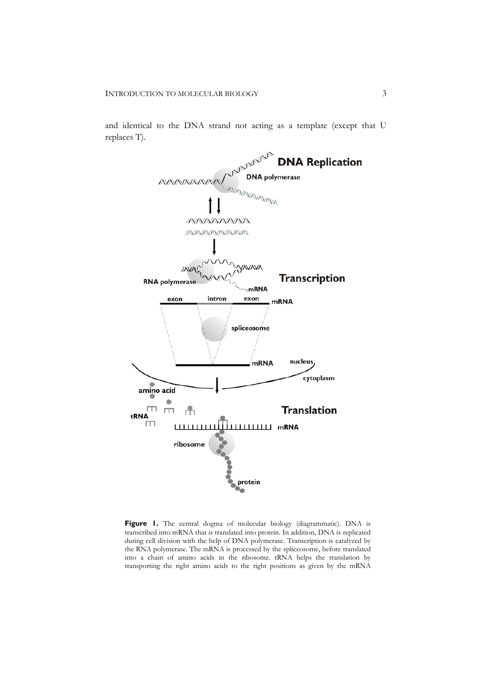and identical to the DNA strand not acting as a template (except that U replaces T).



Figure 1. The central dogma of molecular biology (diagrammatic). DNA is transcribed into mRNA that is translated into protein. In addition, DNA is replicated during cell division with the help of DNA polymerase. Transcription is catalyzed by the RNA polymerase. The mRNA is processed by the spliceosome, before translated into a chain of amino acids in the ribosome. tRNA helps the translation by transporting the right amino acids to the right positions as given by the mRNA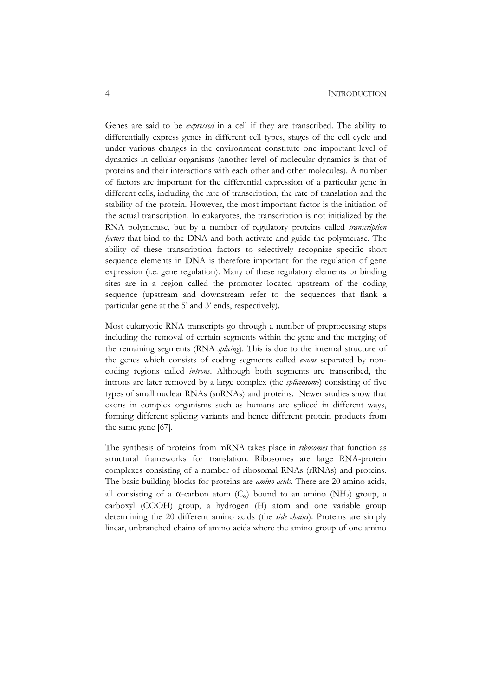Genes are said to be *expressed* in a cell if they are transcribed. The ability to differentially express genes in different cell types, stages of the cell cycle and under various changes in the environment constitute one important level of dynamics in cellular organisms (another level of molecular dynamics is that of proteins and their interactions with each other and other molecules). A number of factors are important for the differential expression of a particular gene in different cells, including the rate of transcription, the rate of translation and the stability of the protein. However, the most important factor is the initiation of the actual transcription. In eukaryotes, the transcription is not initialized by the RNA polymerase, but by a number of regulatory proteins called *transcription factors* that bind to the DNA and both activate and guide the polymerase. The ability of these transcription factors to selectively recognize specific short sequence elements in DNA is therefore important for the regulation of gene expression (i.e. gene regulation). Many of these regulatory elements or binding sites are in a region called the promoter located upstream of the coding sequence (upstream and downstream refer to the sequences that flank a particular gene at the 5' and 3' ends, respectively).

Most eukaryotic RNA transcripts go through a number of preprocessing steps including the removal of certain segments within the gene and the merging of the remaining segments (RNA *splicing*). This is due to the internal structure of the genes which consists of coding segments called *exons* separated by noncoding regions called *introns*. Although both segments are transcribed, the introns are later removed by a large complex (the *spliceosome*) consisting of five types of small nuclear RNAs (snRNAs) and proteins. Newer studies show that exons in complex organisms such as humans are spliced in different ways, forming different splicing variants and hence different protein products from the same gene [67].

The synthesis of proteins from mRNA takes place in *ribosomes* that function as structural frameworks for translation. Ribosomes are large RNA-protein complexes consisting of a number of ribosomal RNAs (rRNAs) and proteins. The basic building blocks for proteins are *amino acids*. There are 20 amino acids, all consisting of a  $\alpha$ -carbon atom  $(C_{\alpha})$  bound to an amino (NH<sub>2</sub>) group, a carboxyl (COOH) group, a hydrogen (H) atom and one variable group determining the 20 different amino acids (the *side chains*). Proteins are simply linear, unbranched chains of amino acids where the amino group of one amino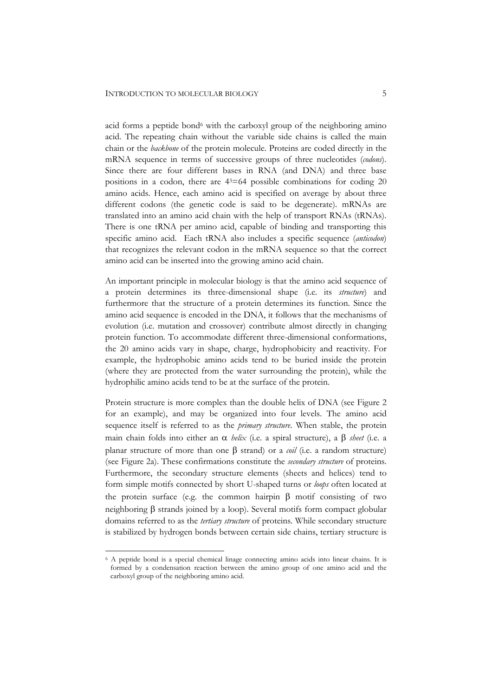acid forms a peptide bond<sup>6</sup> with the carboxyl group of the neighboring amino acid. The repeating chain without the variable side chains is called the main chain or the *backbone* of the protein molecule. Proteins are coded directly in the mRNA sequence in terms of successive groups of three nucleotides (*codons*). Since there are four different bases in RNA (and DNA) and three base positions in a codon, there are  $4<sup>3</sup>=64$  possible combinations for coding 20 amino acids. Hence, each amino acid is specified on average by about three different codons (the genetic code is said to be degenerate). mRNAs are translated into an amino acid chain with the help of transport RNAs (tRNAs). There is one tRNA per amino acid, capable of binding and transporting this specific amino acid. Each tRNA also includes a specific sequence (*anticodon*) that recognizes the relevant codon in the mRNA sequence so that the correct amino acid can be inserted into the growing amino acid chain.

An important principle in molecular biology is that the amino acid sequence of a protein determines its three-dimensional shape (i.e. its *structure*) and furthermore that the structure of a protein determines its function. Since the amino acid sequence is encoded in the DNA, it follows that the mechanisms of evolution (i.e. mutation and crossover) contribute almost directly in changing protein function. To accommodate different three-dimensional conformations, the 20 amino acids vary in shape, charge, hydrophobicity and reactivity. For example, the hydrophobic amino acids tend to be buried inside the protein (where they are protected from the water surrounding the protein), while the hydrophilic amino acids tend to be at the surface of the protein.

Protein structure is more complex than the double helix of DNA (see Figure 2 for an example), and may be organized into four levels. The amino acid sequence itself is referred to as the *primary structure*. When stable, the protein main chain folds into either an  $\alpha$  *helix* (i.e. a spiral structure), a  $\beta$  *sheet* (i.e. a planar structure of more than one E strand) or a *coil* (i.e. a random structure) (see Figure 2a). These confirmations constitute the *secondary structure* of proteins. Furthermore, the secondary structure elements (sheets and helices) tend to form simple motifs connected by short U-shaped turns or *loops* often located at the protein surface (e.g. the common hairpin  $\beta$  motif consisting of two neighboring  $\beta$  strands joined by a loop). Several motifs form compact globular domains referred to as the *tertiary structure* of proteins. While secondary structure is stabilized by hydrogen bonds between certain side chains, tertiary structure is

<sup>6</sup> A peptide bond is a special chemical linage connecting amino acids into linear chains. It is formed by a condensation reaction between the amino group of one amino acid and the carboxyl group of the neighboring amino acid.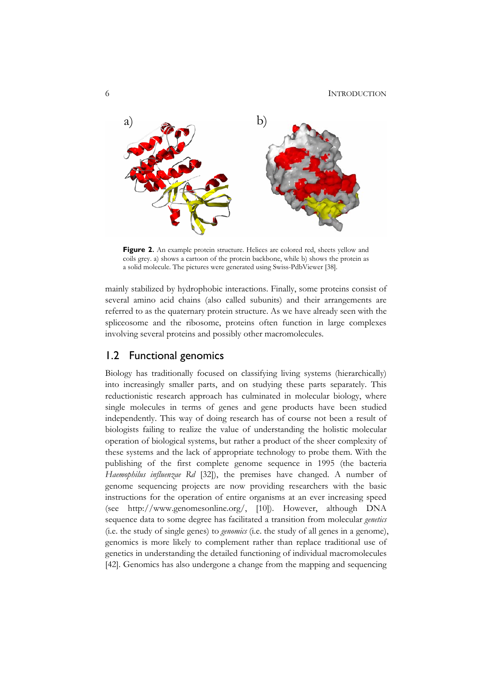

**Figure 2.** An example protein structure. Helices are colored red, sheets yellow and coils grey. a) shows a cartoon of the protein backbone, while b) shows the protein as a solid molecule. The pictures were generated using Swiss-PdbViewer [38].

mainly stabilized by hydrophobic interactions. Finally, some proteins consist of several amino acid chains (also called subunits) and their arrangements are referred to as the quaternary protein structure. As we have already seen with the spliceosome and the ribosome, proteins often function in large complexes involving several proteins and possibly other macromolecules.

# 1.2 Functional genomics

Biology has traditionally focused on classifying living systems (hierarchically) into increasingly smaller parts, and on studying these parts separately. This reductionistic research approach has culminated in molecular biology, where single molecules in terms of genes and gene products have been studied independently. This way of doing research has of course not been a result of biologists failing to realize the value of understanding the holistic molecular operation of biological systems, but rather a product of the sheer complexity of these systems and the lack of appropriate technology to probe them. With the publishing of the first complete genome sequence in 1995 (the bacteria *Haemophilus influenzae Rd* [32]), the premises have changed. A number of genome sequencing projects are now providing researchers with the basic instructions for the operation of entire organisms at an ever increasing speed (see http://www.genomesonline.org/, [10]). However, although DNA sequence data to some degree has facilitated a transition from molecular *genetics* (i.e. the study of single genes) to *genomics* (i.e. the study of all genes in a genome), genomics is more likely to complement rather than replace traditional use of genetics in understanding the detailed functioning of individual macromolecules [42]. Genomics has also undergone a change from the mapping and sequencing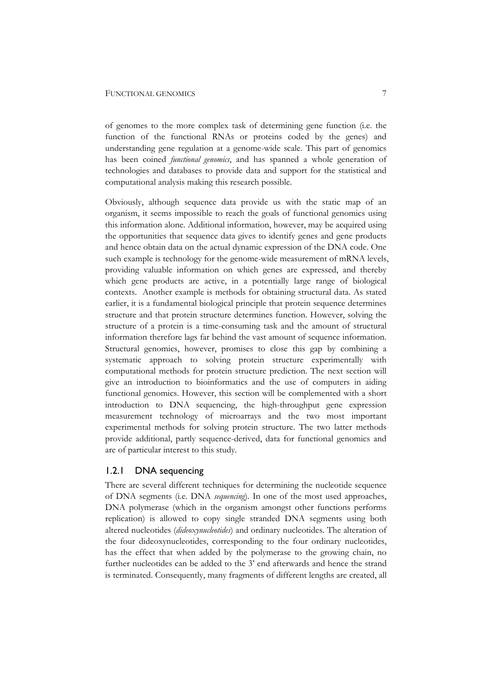of genomes to the more complex task of determining gene function (i.e. the function of the functional RNAs or proteins coded by the genes) and understanding gene regulation at a genome-wide scale. This part of genomics has been coined *functional genomics*, and has spanned a whole generation of technologies and databases to provide data and support for the statistical and computational analysis making this research possible.

Obviously, although sequence data provide us with the static map of an organism, it seems impossible to reach the goals of functional genomics using this information alone. Additional information, however, may be acquired using the opportunities that sequence data gives to identify genes and gene products and hence obtain data on the actual dynamic expression of the DNA code. One such example is technology for the genome-wide measurement of mRNA levels, providing valuable information on which genes are expressed, and thereby which gene products are active, in a potentially large range of biological contexts. Another example is methods for obtaining structural data. As stated earlier, it is a fundamental biological principle that protein sequence determines structure and that protein structure determines function. However, solving the structure of a protein is a time-consuming task and the amount of structural information therefore lags far behind the vast amount of sequence information. Structural genomics, however, promises to close this gap by combining a systematic approach to solving protein structure experimentally with computational methods for protein structure prediction. The next section will give an introduction to bioinformatics and the use of computers in aiding functional genomics. However, this section will be complemented with a short introduction to DNA sequencing, the high-throughput gene expression measurement technology of microarrays and the two most important experimental methods for solving protein structure. The two latter methods provide additional, partly sequence-derived, data for functional genomics and are of particular interest to this study.

### 1.2.1 DNA sequencing

There are several different techniques for determining the nucleotide sequence of DNA segments (i.e. DNA *sequencing*). In one of the most used approaches, DNA polymerase (which in the organism amongst other functions performs replication) is allowed to copy single stranded DNA segments using both altered nucleotides (*dideoxynucleotides*) and ordinary nucleotides. The alteration of the four dideoxynucleotides, corresponding to the four ordinary nucleotides, has the effect that when added by the polymerase to the growing chain, no further nucleotides can be added to the 3' end afterwards and hence the strand is terminated. Consequently, many fragments of different lengths are created, all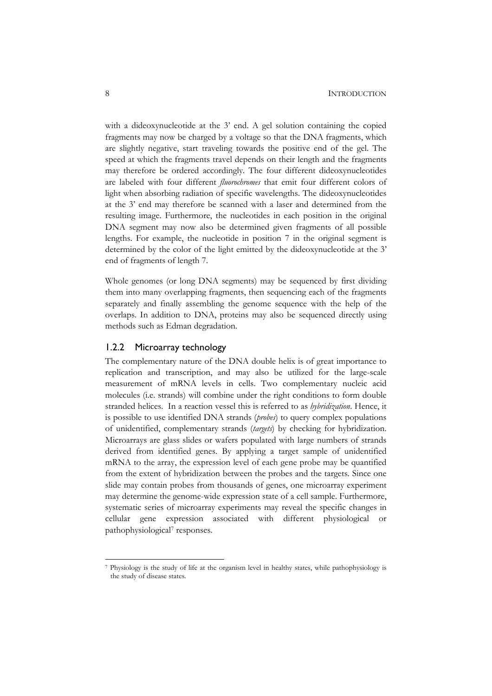with a dideoxynucleotide at the 3' end. A gel solution containing the copied fragments may now be charged by a voltage so that the DNA fragments, which are slightly negative, start traveling towards the positive end of the gel. The speed at which the fragments travel depends on their length and the fragments may therefore be ordered accordingly. The four different dideoxynucleotides are labeled with four different *fluorochromes* that emit four different colors of light when absorbing radiation of specific wavelengths. The dideoxynucleotides at the 3' end may therefore be scanned with a laser and determined from the resulting image. Furthermore, the nucleotides in each position in the original DNA segment may now also be determined given fragments of all possible lengths. For example, the nucleotide in position 7 in the original segment is determined by the color of the light emitted by the dideoxynucleotide at the 3' end of fragments of length 7.

Whole genomes (or long DNA segments) may be sequenced by first dividing them into many overlapping fragments, then sequencing each of the fragments separately and finally assembling the genome sequence with the help of the overlaps. In addition to DNA, proteins may also be sequenced directly using methods such as Edman degradation.

# 1.2.2 Microarray technology

The complementary nature of the DNA double helix is of great importance to replication and transcription, and may also be utilized for the large-scale measurement of mRNA levels in cells. Two complementary nucleic acid molecules (i.e. strands) will combine under the right conditions to form double stranded helices. In a reaction vessel this is referred to as *hybridization*. Hence, it is possible to use identified DNA strands (*probes*) to query complex populations of unidentified, complementary strands (*targets*) by checking for hybridization. Microarrays are glass slides or wafers populated with large numbers of strands derived from identified genes. By applying a target sample of unidentified mRNA to the array, the expression level of each gene probe may be quantified from the extent of hybridization between the probes and the targets. Since one slide may contain probes from thousands of genes, one microarray experiment may determine the genome-wide expression state of a cell sample. Furthermore, systematic series of microarray experiments may reveal the specific changes in cellular gene expression associated with different physiological or pathophysiological7 responses.

<sup>7</sup> Physiology is the study of life at the organism level in healthy states, while pathophysiology is the study of disease states.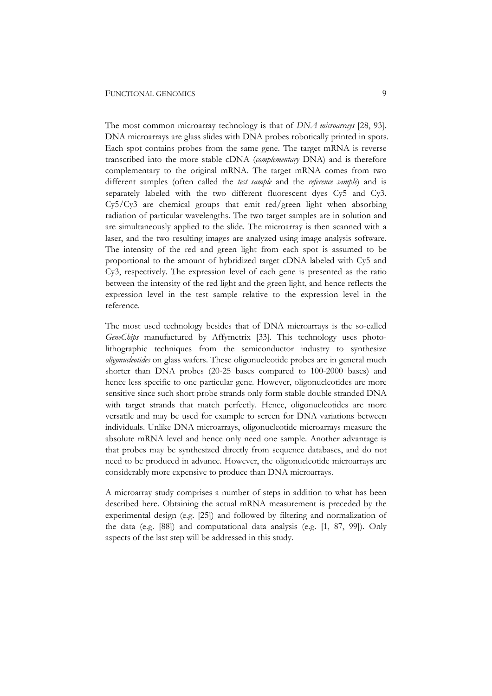The most common microarray technology is that of *DNA microarrays* [28, 93]. DNA microarrays are glass slides with DNA probes robotically printed in spots. Each spot contains probes from the same gene. The target mRNA is reverse transcribed into the more stable cDNA (*complementary* DNA) and is therefore complementary to the original mRNA. The target mRNA comes from two different samples (often called the *test sample* and the *reference sample*) and is separately labeled with the two different fluorescent dyes Cy5 and Cy3. Cy5/Cy3 are chemical groups that emit red/green light when absorbing radiation of particular wavelengths. The two target samples are in solution and are simultaneously applied to the slide. The microarray is then scanned with a laser, and the two resulting images are analyzed using image analysis software. The intensity of the red and green light from each spot is assumed to be proportional to the amount of hybridized target cDNA labeled with Cy5 and Cy3, respectively. The expression level of each gene is presented as the ratio between the intensity of the red light and the green light, and hence reflects the expression level in the test sample relative to the expression level in the reference.

The most used technology besides that of DNA microarrays is the so-called *GeneChips* manufactured by Affymetrix [33]. This technology uses photolithographic techniques from the semiconductor industry to synthesize *oligonucleotides* on glass wafers. These oligonucleotide probes are in general much shorter than DNA probes (20-25 bases compared to 100-2000 bases) and hence less specific to one particular gene. However, oligonucleotides are more sensitive since such short probe strands only form stable double stranded DNA with target strands that match perfectly. Hence, oligonucleotides are more versatile and may be used for example to screen for DNA variations between individuals. Unlike DNA microarrays, oligonucleotide microarrays measure the absolute mRNA level and hence only need one sample. Another advantage is that probes may be synthesized directly from sequence databases, and do not need to be produced in advance. However, the oligonucleotide microarrays are considerably more expensive to produce than DNA microarrays.

A microarray study comprises a number of steps in addition to what has been described here. Obtaining the actual mRNA measurement is preceded by the experimental design (e.g. [25]) and followed by filtering and normalization of the data (e.g. [88]) and computational data analysis (e.g. [1, 87, 99]). Only aspects of the last step will be addressed in this study.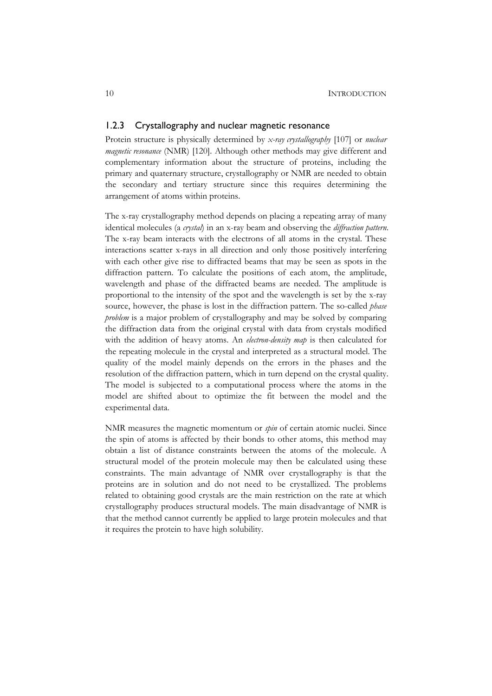# 1.2.3 Crystallography and nuclear magnetic resonance

Protein structure is physically determined by *x-ray crystallography* [107] or *nuclear magnetic resonance* (NMR) [120]. Although other methods may give different and complementary information about the structure of proteins, including the primary and quaternary structure, crystallography or NMR are needed to obtain the secondary and tertiary structure since this requires determining the arrangement of atoms within proteins.

The x-ray crystallography method depends on placing a repeating array of many identical molecules (a *crystal*) in an x-ray beam and observing the *diffraction pattern*. The x-ray beam interacts with the electrons of all atoms in the crystal. These interactions scatter x-rays in all direction and only those positively interfering with each other give rise to diffracted beams that may be seen as spots in the diffraction pattern. To calculate the positions of each atom, the amplitude, wavelength and phase of the diffracted beams are needed. The amplitude is proportional to the intensity of the spot and the wavelength is set by the x-ray source, however, the phase is lost in the diffraction pattern. The so-called *phase problem* is a major problem of crystallography and may be solved by comparing the diffraction data from the original crystal with data from crystals modified with the addition of heavy atoms. An *electron-density map* is then calculated for the repeating molecule in the crystal and interpreted as a structural model. The quality of the model mainly depends on the errors in the phases and the resolution of the diffraction pattern, which in turn depend on the crystal quality. The model is subjected to a computational process where the atoms in the model are shifted about to optimize the fit between the model and the experimental data.

NMR measures the magnetic momentum or *spin* of certain atomic nuclei. Since the spin of atoms is affected by their bonds to other atoms, this method may obtain a list of distance constraints between the atoms of the molecule. A structural model of the protein molecule may then be calculated using these constraints. The main advantage of NMR over crystallography is that the proteins are in solution and do not need to be crystallized. The problems related to obtaining good crystals are the main restriction on the rate at which crystallography produces structural models. The main disadvantage of NMR is that the method cannot currently be applied to large protein molecules and that it requires the protein to have high solubility.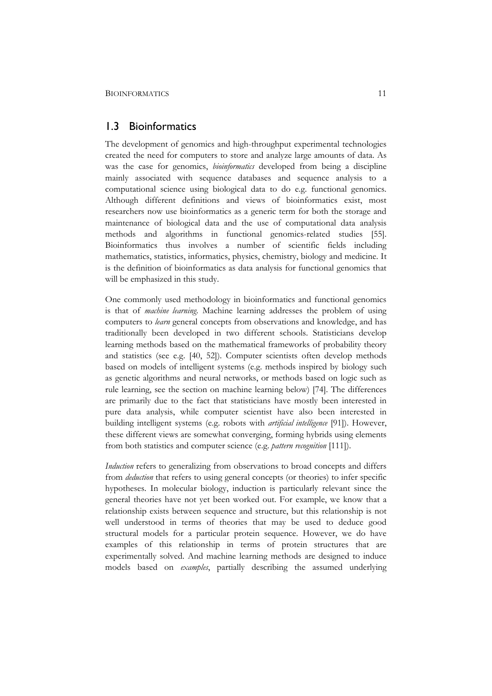# 1.3 Bioinformatics

The development of genomics and high-throughput experimental technologies created the need for computers to store and analyze large amounts of data. As was the case for genomics, *bioinformatics* developed from being a discipline mainly associated with sequence databases and sequence analysis to a computational science using biological data to do e.g. functional genomics. Although different definitions and views of bioinformatics exist, most researchers now use bioinformatics as a generic term for both the storage and maintenance of biological data and the use of computational data analysis methods and algorithms in functional genomics-related studies [55]. Bioinformatics thus involves a number of scientific fields including mathematics, statistics, informatics, physics, chemistry, biology and medicine. It is the definition of bioinformatics as data analysis for functional genomics that will be emphasized in this study.

One commonly used methodology in bioinformatics and functional genomics is that of *machine learning*. Machine learning addresses the problem of using computers to *learn* general concepts from observations and knowledge, and has traditionally been developed in two different schools. Statisticians develop learning methods based on the mathematical frameworks of probability theory and statistics (see e.g. [40, 52]). Computer scientists often develop methods based on models of intelligent systems (e.g. methods inspired by biology such as genetic algorithms and neural networks, or methods based on logic such as rule learning, see the section on machine learning below) [74]. The differences are primarily due to the fact that statisticians have mostly been interested in pure data analysis, while computer scientist have also been interested in building intelligent systems (e.g. robots with *artificial intelligence* [91]). However, these different views are somewhat converging, forming hybrids using elements from both statistics and computer science (e.g. *pattern recognition* [111]).

*Induction* refers to generalizing from observations to broad concepts and differs from *deduction* that refers to using general concepts (or theories) to infer specific hypotheses. In molecular biology, induction is particularly relevant since the general theories have not yet been worked out. For example, we know that a relationship exists between sequence and structure, but this relationship is not well understood in terms of theories that may be used to deduce good structural models for a particular protein sequence. However, we do have examples of this relationship in terms of protein structures that are experimentally solved. And machine learning methods are designed to induce models based on *examples*, partially describing the assumed underlying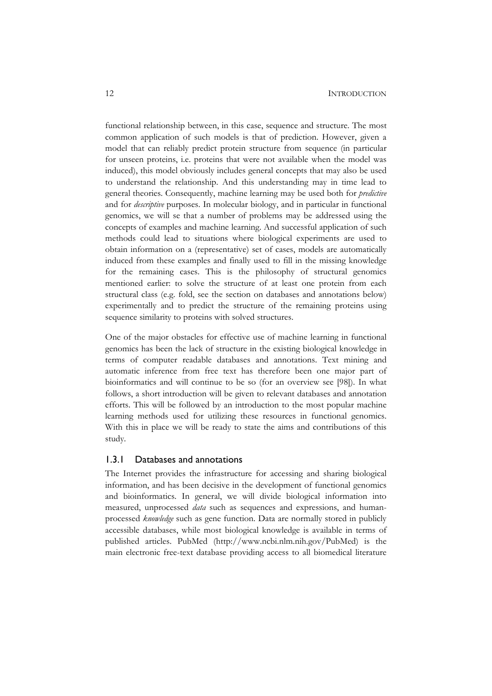functional relationship between, in this case, sequence and structure. The most common application of such models is that of prediction. However, given a model that can reliably predict protein structure from sequence (in particular for unseen proteins, i.e. proteins that were not available when the model was induced), this model obviously includes general concepts that may also be used to understand the relationship. And this understanding may in time lead to general theories. Consequently, machine learning may be used both for *predictive* and for *descriptive* purposes. In molecular biology, and in particular in functional genomics, we will se that a number of problems may be addressed using the concepts of examples and machine learning. And successful application of such methods could lead to situations where biological experiments are used to obtain information on a (representative) set of cases, models are automatically induced from these examples and finally used to fill in the missing knowledge for the remaining cases. This is the philosophy of structural genomics mentioned earlier: to solve the structure of at least one protein from each structural class (e.g. fold, see the section on databases and annotations below) experimentally and to predict the structure of the remaining proteins using sequence similarity to proteins with solved structures.

One of the major obstacles for effective use of machine learning in functional genomics has been the lack of structure in the existing biological knowledge in terms of computer readable databases and annotations. Text mining and automatic inference from free text has therefore been one major part of bioinformatics and will continue to be so (for an overview see [98]). In what follows, a short introduction will be given to relevant databases and annotation efforts. This will be followed by an introduction to the most popular machine learning methods used for utilizing these resources in functional genomics. With this in place we will be ready to state the aims and contributions of this study.

# 1.3.1 Databases and annotations

The Internet provides the infrastructure for accessing and sharing biological information, and has been decisive in the development of functional genomics and bioinformatics. In general, we will divide biological information into measured, unprocessed *data* such as sequences and expressions, and humanprocessed *knowledge* such as gene function. Data are normally stored in publicly accessible databases, while most biological knowledge is available in terms of published articles. PubMed (http://www.ncbi.nlm.nih.gov/PubMed) is the main electronic free-text database providing access to all biomedical literature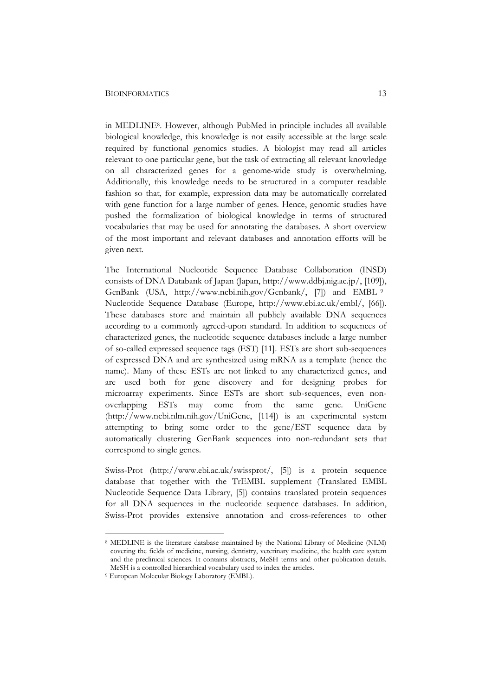#### BIOINFORMATICS 13

in MEDLINE8. However, although PubMed in principle includes all available biological knowledge, this knowledge is not easily accessible at the large scale required by functional genomics studies. A biologist may read all articles relevant to one particular gene, but the task of extracting all relevant knowledge on all characterized genes for a genome-wide study is overwhelming. Additionally, this knowledge needs to be structured in a computer readable fashion so that, for example, expression data may be automatically correlated with gene function for a large number of genes. Hence, genomic studies have pushed the formalization of biological knowledge in terms of structured vocabularies that may be used for annotating the databases. A short overview of the most important and relevant databases and annotation efforts will be given next.

The International Nucleotide Sequence Database Collaboration (INSD) consists of DNA Databank of Japan (Japan, http://www.ddbj.nig.ac.jp/, [109]), GenBank (USA, http://www.ncbi.nih.gov/Genbank/, [7]) and EMBL <sup>9</sup> Nucleotide Sequence Database (Europe, http://www.ebi.ac.uk/embl/, [66]). These databases store and maintain all publicly available DNA sequences according to a commonly agreed-upon standard. In addition to sequences of characterized genes, the nucleotide sequence databases include a large number of so-called expressed sequence tags (EST) [11]. ESTs are short sub-sequences of expressed DNA and are synthesized using mRNA as a template (hence the name). Many of these ESTs are not linked to any characterized genes, and are used both for gene discovery and for designing probes for microarray experiments. Since ESTs are short sub-sequences, even nonoverlapping ESTs may come from the same gene. UniGene (http://www.ncbi.nlm.nih.gov/UniGene, [114]) is an experimental system attempting to bring some order to the gene/EST sequence data by automatically clustering GenBank sequences into non-redundant sets that correspond to single genes.

Swiss-Prot (http://www.ebi.ac.uk/swissprot/, [5]) is a protein sequence database that together with the TrEMBL supplement (Translated EMBL Nucleotide Sequence Data Library, [5]) contains translated protein sequences for all DNA sequences in the nucleotide sequence databases. In addition, Swiss-Prot provides extensive annotation and cross-references to other

<sup>8</sup> MEDLINE is the literature database maintained by the National Library of Medicine (NLM) covering the fields of medicine, nursing, dentistry, veterinary medicine, the health care system and the preclinical sciences. It contains abstracts, MeSH terms and other publication details. MeSH is a controlled hierarchical vocabulary used to index the articles.

<sup>9</sup> European Molecular Biology Laboratory (EMBL).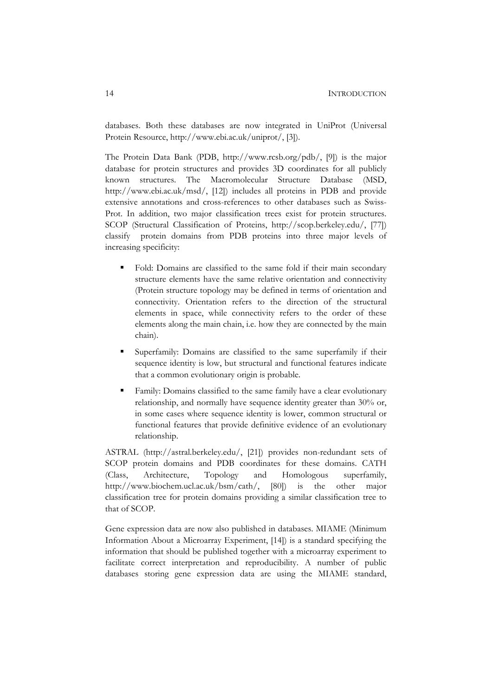databases. Both these databases are now integrated in UniProt (Universal Protein Resource, http://www.ebi.ac.uk/uniprot/, [3]).

The Protein Data Bank (PDB, http://www.rcsb.org/pdb/, [9]) is the major database for protein structures and provides 3D coordinates for all publicly known structures. The Macromolecular Structure Database (MSD, http://www.ebi.ac.uk/msd/, [12]) includes all proteins in PDB and provide extensive annotations and cross-references to other databases such as Swiss-Prot. In addition, two major classification trees exist for protein structures. SCOP (Structural Classification of Proteins, http://scop.berkeley.edu/, [77]) classify protein domains from PDB proteins into three major levels of increasing specificity:

- Fold: Domains are classified to the same fold if their main secondary structure elements have the same relative orientation and connectivity (Protein structure topology may be defined in terms of orientation and connectivity. Orientation refers to the direction of the structural elements in space, while connectivity refers to the order of these elements along the main chain, i.e. how they are connected by the main chain).
- Superfamily: Domains are classified to the same superfamily if their sequence identity is low, but structural and functional features indicate that a common evolutionary origin is probable.
- Family: Domains classified to the same family have a clear evolutionary relationship, and normally have sequence identity greater than 30% or, in some cases where sequence identity is lower, common structural or functional features that provide definitive evidence of an evolutionary relationship.

ASTRAL (http://astral.berkeley.edu/, [21]) provides non-redundant sets of SCOP protein domains and PDB coordinates for these domains. CATH (Class, Architecture, Topology and Homologous superfamily, http://www.biochem.ucl.ac.uk/bsm/cath/, [80]) is the other major classification tree for protein domains providing a similar classification tree to that of SCOP.

Gene expression data are now also published in databases. MIAME (Minimum Information About a Microarray Experiment, [14]) is a standard specifying the information that should be published together with a microarray experiment to facilitate correct interpretation and reproducibility. A number of public databases storing gene expression data are using the MIAME standard,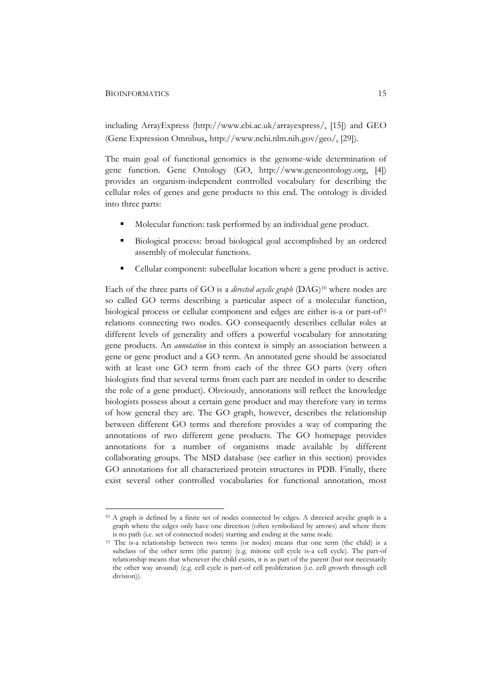#### BIOINFORMATICS 15

including ArrayExpress (http://www.ebi.ac.uk/arrayexpress/, [15]) and GEO (Gene Expression Omnibus, http://www.ncbi.nlm.nih.gov/geo/, [29]).

The main goal of functional genomics is the genome-wide determination of gene function. Gene Ontology (GO, http://www.geneontology.org, [4]) provides an organism-independent controlled vocabulary for describing the cellular roles of genes and gene products to this end. The ontology is divided into three parts:

- Molecular function: task performed by an individual gene product.
- Biological process: broad biological goal accomplished by an ordered assembly of molecular functions.
- Cellular component: subcellular location where a gene product is active.

Each of the three parts of GO is a *directed acyclic graph* (DAG)10 where nodes are so called GO terms describing a particular aspect of a molecular function, biological process or cellular component and edges are either is-a or part-of<sup>11</sup> relations connecting two nodes. GO consequently describes cellular roles at different levels of generality and offers a powerful vocabulary for annotating gene products. An *annotation* in this context is simply an association between a gene or gene product and a GO term. An annotated gene should be associated with at least one GO term from each of the three GO parts (very often biologists find that several terms from each part are needed in order to describe the role of a gene product). Obviously, annotations will reflect the knowledge biologists possess about a certain gene product and may therefore vary in terms of how general they are. The GO graph, however, describes the relationship between different GO terms and therefore provides a way of comparing the annotations of two different gene products. The GO homepage provides annotations for a number of organisms made available by different collaborating groups. The MSD database (see earlier in this section) provides GO annotations for all characterized protein structures in PDB. Finally, there exist several other controlled vocabularies for functional annotation, most

<sup>10</sup> A graph is defined by a finite set of nodes connected by edges. A directed acyclic graph is a graph where the edges only have one direction (often symbolized by arrows) and where there is no path (i.e. set of connected nodes) starting and ending at the same node.

<sup>11</sup> The is-a relationship between two terms (or nodes) means that one term (the child) is a subclass of the other term (the parent) (e.g. mitotic cell cycle is-a cell cycle). The part-of relationship means that whenever the child exists, it is as part of the parent (but not necessarily the other way around) (e.g. cell cycle is part-of cell proliferation (i.e. cell growth through cell division)).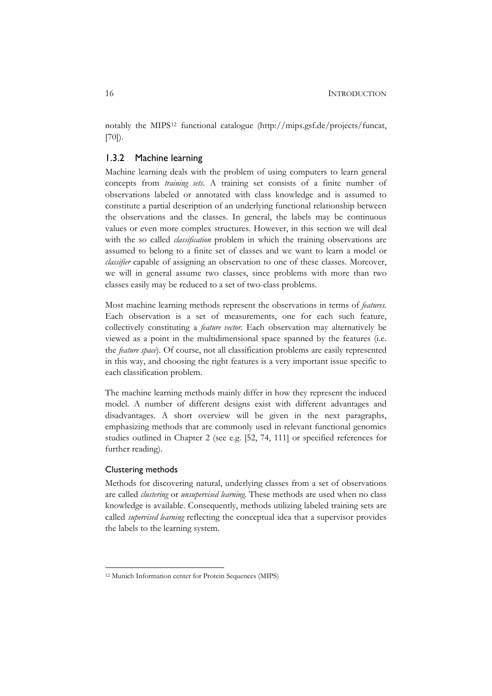notably the MIPS12 functional catalogue (http://mips.gsf.de/projects/funcat, [70]).

# 1.3.2 Machine learning

Machine learning deals with the problem of using computers to learn general concepts from *training sets*. A training set consists of a finite number of observations labeled or annotated with class knowledge and is assumed to constitute a partial description of an underlying functional relationship between the observations and the classes. In general, the labels may be continuous values or even more complex structures. However, in this section we will deal with the so called *classification* problem in which the training observations are assumed to belong to a finite set of classes and we want to learn a model or *classifier* capable of assigning an observation to one of these classes. Moreover, we will in general assume two classes, since problems with more than two classes easily may be reduced to a set of two-class problems.

Most machine learning methods represent the observations in terms of *features*. Each observation is a set of measurements, one for each such feature, collectively constituting a *feature vector*. Each observation may alternatively be viewed as a point in the multidimensional space spanned by the features (i.e. the *feature space*). Of course, not all classification problems are easily represented in this way, and choosing the right features is a very important issue specific to each classification problem.

The machine learning methods mainly differ in how they represent the induced model. A number of different designs exist with different advantages and disadvantages. A short overview will be given in the next paragraphs, emphasizing methods that are commonly used in relevant functional genomics studies outlined in Chapter 2 (see e.g. [52, 74, 111] or specified references for further reading).

# Clustering methods

Methods for discovering natural, underlying classes from a set of observations are called *clustering* or *unsupervised learning*. These methods are used when no class knowledge is available. Consequently, methods utilizing labeled training sets are called *supervised learning* reflecting the conceptual idea that a supervisor provides the labels to the learning system.

<sup>&</sup>lt;sup>12</sup> Munich Information center for Protein Sequences (MIPS)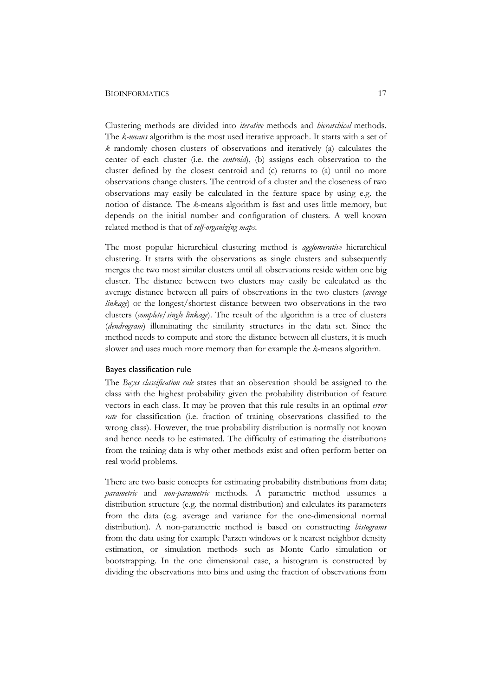#### BIOINFORMATICS 17

Clustering methods are divided into *iterative* methods and *hierarchical* methods. The *k-means* algorithm is the most used iterative approach. It starts with a set of *k* randomly chosen clusters of observations and iteratively (a) calculates the center of each cluster (i.e. the *centroid*), (b) assigns each observation to the cluster defined by the closest centroid and (c) returns to (a) until no more observations change clusters. The centroid of a cluster and the closeness of two observations may easily be calculated in the feature space by using e.g. the notion of distance. The *k*-means algorithm is fast and uses little memory, but depends on the initial number and configuration of clusters. A well known related method is that of *self-organizing maps*.

The most popular hierarchical clustering method is *agglomerative* hierarchical clustering. It starts with the observations as single clusters and subsequently merges the two most similar clusters until all observations reside within one big cluster. The distance between two clusters may easily be calculated as the average distance between all pairs of observations in the two clusters (*average linkage*) or the longest/shortest distance between two observations in the two clusters (*complete/single linkage*). The result of the algorithm is a tree of clusters (*dendrogram*) illuminating the similarity structures in the data set. Since the method needs to compute and store the distance between all clusters, it is much slower and uses much more memory than for example the *k*-means algorithm.

# Bayes classification rule

The *Bayes classification rule* states that an observation should be assigned to the class with the highest probability given the probability distribution of feature vectors in each class. It may be proven that this rule results in an optimal *error rate* for classification (i.e. fraction of training observations classified to the wrong class). However, the true probability distribution is normally not known and hence needs to be estimated. The difficulty of estimating the distributions from the training data is why other methods exist and often perform better on real world problems.

There are two basic concepts for estimating probability distributions from data; *parametric* and *non-parametric* methods. A parametric method assumes a distribution structure (e.g. the normal distribution) and calculates its parameters from the data (e.g. average and variance for the one-dimensional normal distribution). A non-parametric method is based on constructing *histograms* from the data using for example Parzen windows or k nearest neighbor density estimation, or simulation methods such as Monte Carlo simulation or bootstrapping. In the one dimensional case, a histogram is constructed by dividing the observations into bins and using the fraction of observations from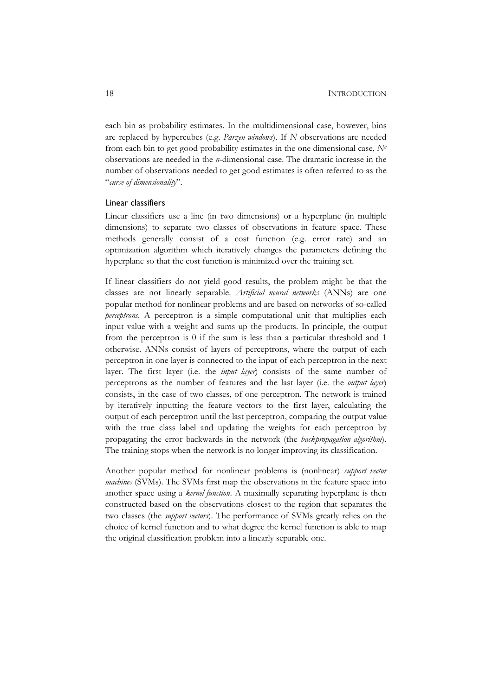each bin as probability estimates. In the multidimensional case, however, bins are replaced by hypercubes (e.g. *Parzen windows*). If *N* observations are needed from each bin to get good probability estimates in the one dimensional case,  $N<sup>n</sup>$ observations are needed in the *n*-dimensional case. The dramatic increase in the number of observations needed to get good estimates is often referred to as the "*curse of dimensionality*".

# Linear classifiers

Linear classifiers use a line (in two dimensions) or a hyperplane (in multiple dimensions) to separate two classes of observations in feature space. These methods generally consist of a cost function (e.g. error rate) and an optimization algorithm which iteratively changes the parameters defining the hyperplane so that the cost function is minimized over the training set.

If linear classifiers do not yield good results, the problem might be that the classes are not linearly separable. *Artificial neural networks* (ANNs) are one popular method for nonlinear problems and are based on networks of so-called *perceptrons*. A perceptron is a simple computational unit that multiplies each input value with a weight and sums up the products. In principle, the output from the perceptron is 0 if the sum is less than a particular threshold and 1 otherwise. ANNs consist of layers of perceptrons, where the output of each perceptron in one layer is connected to the input of each perceptron in the next layer. The first layer (i.e. the *input layer*) consists of the same number of perceptrons as the number of features and the last layer (i.e. the *output layer*) consists, in the case of two classes, of one perceptron. The network is trained by iteratively inputting the feature vectors to the first layer, calculating the output of each perceptron until the last perceptron, comparing the output value with the true class label and updating the weights for each perceptron by propagating the error backwards in the network (the *backpropagation algorithm*). The training stops when the network is no longer improving its classification.

Another popular method for nonlinear problems is (nonlinear) *support vector machines* (SVMs). The SVMs first map the observations in the feature space into another space using a *kernel function*. A maximally separating hyperplane is then constructed based on the observations closest to the region that separates the two classes (the *support vectors*). The performance of SVMs greatly relies on the choice of kernel function and to what degree the kernel function is able to map the original classification problem into a linearly separable one.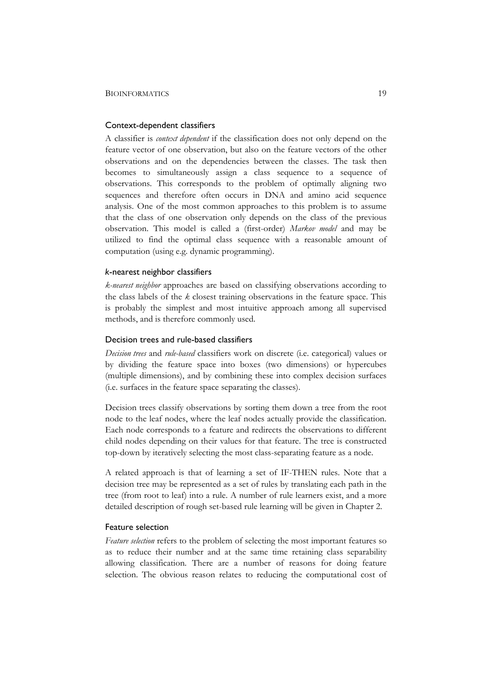# Context-dependent classifiers

A classifier is *context dependent* if the classification does not only depend on the feature vector of one observation, but also on the feature vectors of the other observations and on the dependencies between the classes. The task then becomes to simultaneously assign a class sequence to a sequence of observations. This corresponds to the problem of optimally aligning two sequences and therefore often occurs in DNA and amino acid sequence analysis. One of the most common approaches to this problem is to assume that the class of one observation only depends on the class of the previous observation. This model is called a (first-order) *Markov model* and may be utilized to find the optimal class sequence with a reasonable amount of computation (using e.g. dynamic programming).

# *k*-nearest neighbor classifiers

*k-nearest neighbor* approaches are based on classifying observations according to the class labels of the *k* closest training observations in the feature space. This is probably the simplest and most intuitive approach among all supervised methods, and is therefore commonly used.

# Decision trees and rule-based classifiers

*Decision trees* and *rule-based* classifiers work on discrete (i.e. categorical) values or by dividing the feature space into boxes (two dimensions) or hypercubes (multiple dimensions), and by combining these into complex decision surfaces (i.e. surfaces in the feature space separating the classes).

Decision trees classify observations by sorting them down a tree from the root node to the leaf nodes, where the leaf nodes actually provide the classification. Each node corresponds to a feature and redirects the observations to different child nodes depending on their values for that feature. The tree is constructed top-down by iteratively selecting the most class-separating feature as a node.

A related approach is that of learning a set of IF-THEN rules. Note that a decision tree may be represented as a set of rules by translating each path in the tree (from root to leaf) into a rule. A number of rule learners exist, and a more detailed description of rough set-based rule learning will be given in Chapter 2.

# Feature selection

*Feature selection* refers to the problem of selecting the most important features so as to reduce their number and at the same time retaining class separability allowing classification. There are a number of reasons for doing feature selection. The obvious reason relates to reducing the computational cost of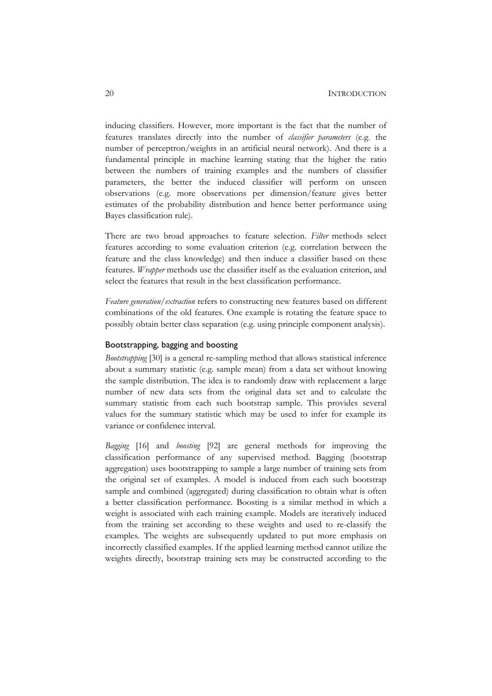inducing classifiers. However, more important is the fact that the number of features translates directly into the number of *classifier parameters* (e.g. the number of perceptron/weights in an artificial neural network). And there is a fundamental principle in machine learning stating that the higher the ratio between the numbers of training examples and the numbers of classifier parameters, the better the induced classifier will perform on unseen observations (e.g. more observations per dimension/feature gives better estimates of the probability distribution and hence better performance using Bayes classification rule).

There are two broad approaches to feature selection. *Filter* methods select features according to some evaluation criterion (e.g. correlation between the feature and the class knowledge) and then induce a classifier based on these features. *Wrapper* methods use the classifier itself as the evaluation criterion, and select the features that result in the best classification performance.

*Feature generation/extraction* refers to constructing new features based on different combinations of the old features. One example is rotating the feature space to possibly obtain better class separation (e.g. using principle component analysis).

# Bootstrapping, bagging and boosting

*Bootstrapping* [30] is a general re-sampling method that allows statistical inference about a summary statistic (e.g. sample mean) from a data set without knowing the sample distribution. The idea is to randomly draw with replacement a large number of new data sets from the original data set and to calculate the summary statistic from each such bootstrap sample. This provides several values for the summary statistic which may be used to infer for example its variance or confidence interval.

*Bagging* [16] and *boosting* [92] are general methods for improving the classification performance of any supervised method. Bagging (bootstrap aggregation) uses bootstrapping to sample a large number of training sets from the original set of examples. A model is induced from each such bootstrap sample and combined (aggregated) during classification to obtain what is often a better classification performance. Boosting is a similar method in which a weight is associated with each training example. Models are iteratively induced from the training set according to these weights and used to re-classify the examples. The weights are subsequently updated to put more emphasis on incorrectly classified examples. If the applied learning method cannot utilize the weights directly, bootstrap training sets may be constructed according to the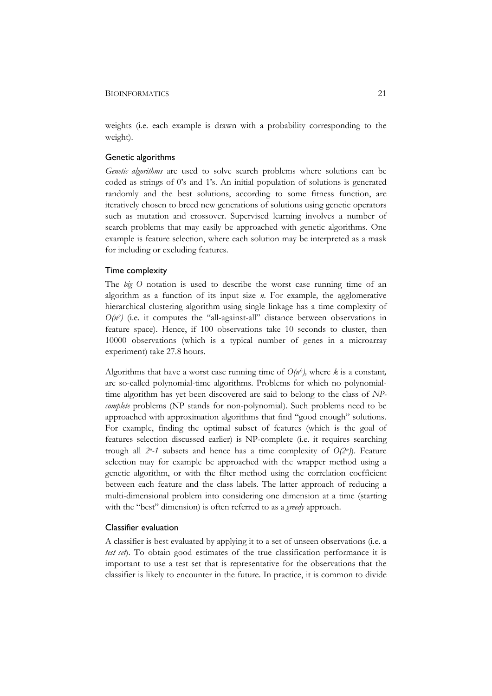### BIOINFORMATICS 21

weights (i.e. each example is drawn with a probability corresponding to the weight).

# Genetic algorithms

*Genetic algorithms* are used to solve search problems where solutions can be coded as strings of 0's and 1's. An initial population of solutions is generated randomly and the best solutions, according to some fitness function, are iteratively chosen to breed new generations of solutions using genetic operators such as mutation and crossover. Supervised learning involves a number of search problems that may easily be approached with genetic algorithms. One example is feature selection, where each solution may be interpreted as a mask for including or excluding features.

# Time complexity

The *big O* notation is used to describe the worst case running time of an algorithm as a function of its input size *n*. For example, the agglomerative hierarchical clustering algorithm using single linkage has a time complexity of  $O(n^2)$  (i.e. it computes the "all-against-all" distance between observations in feature space). Hence, if 100 observations take 10 seconds to cluster, then 10000 observations (which is a typical number of genes in a microarray experiment) take 27.8 hours.

Algorithms that have a worst case running time of  $O(n^k)$ , where *k* is a constant, are so-called polynomial-time algorithms. Problems for which no polynomialtime algorithm has yet been discovered are said to belong to the class of *NPcomplete* problems (NP stands for non-polynomial). Such problems need to be approached with approximation algorithms that find "good enough" solutions. For example, finding the optimal subset of features (which is the goal of features selection discussed earlier) is NP-complete (i.e. it requires searching trough all *2n-1* subsets and hence has a time complexity of *O(2n)*). Feature selection may for example be approached with the wrapper method using a genetic algorithm, or with the filter method using the correlation coefficient between each feature and the class labels. The latter approach of reducing a multi-dimensional problem into considering one dimension at a time (starting with the "best" dimension) is often referred to as a *greedy* approach.

#### Classifier evaluation

A classifier is best evaluated by applying it to a set of unseen observations (i.e. a *test set*). To obtain good estimates of the true classification performance it is important to use a test set that is representative for the observations that the classifier is likely to encounter in the future. In practice, it is common to divide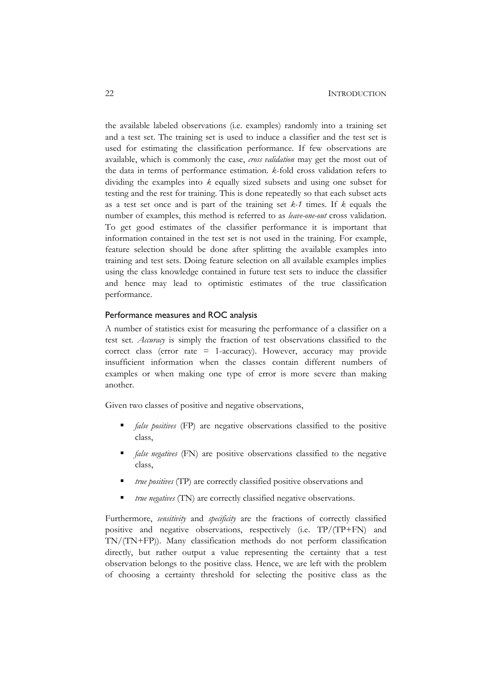the available labeled observations (i.e. examples) randomly into a training set and a test set. The training set is used to induce a classifier and the test set is used for estimating the classification performance. If few observations are available, which is commonly the case, *cross validation* may get the most out of the data in terms of performance estimation. *k*-fold cross validation refers to dividing the examples into *k* equally sized subsets and using one subset for testing and the rest for training. This is done repeatedly so that each subset acts as a test set once and is part of the training set *k-1* times. If *k* equals the number of examples, this method is referred to as *leave-one-out* cross validation. To get good estimates of the classifier performance it is important that information contained in the test set is not used in the training. For example, feature selection should be done after splitting the available examples into training and test sets. Doing feature selection on all available examples implies using the class knowledge contained in future test sets to induce the classifier and hence may lead to optimistic estimates of the true classification performance.

# Performance measures and ROC analysis

A number of statistics exist for measuring the performance of a classifier on a test set. *Accuracy* is simply the fraction of test observations classified to the correct class (error rate  $= 1$ -accuracy). However, accuracy may provide insufficient information when the classes contain different numbers of examples or when making one type of error is more severe than making another.

Given two classes of positive and negative observations,

- *false positives* (FP) are negative observations classified to the positive class,
- *false negatives* (FN) are positive observations classified to the negative class,
- *true positives* (TP) are correctly classified positive observations and
- *true negatives* (TN) are correctly classified negative observations.

Furthermore, *sensitivity* and *specificity* are the fractions of correctly classified positive and negative observations, respectively (i.e. TP/(TP+FN) and TN/(TN+FP)). Many classification methods do not perform classification directly, but rather output a value representing the certainty that a test observation belongs to the positive class. Hence, we are left with the problem of choosing a certainty threshold for selecting the positive class as the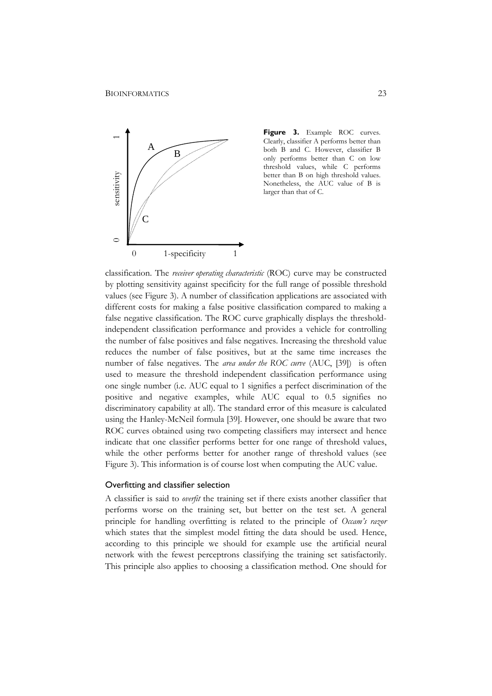

Figure 3. Example ROC curves. Clearly, classifier A performs better than both B and C. However, classifier B only performs better than C on low threshold values, while C performs better than B on high threshold values. Nonetheless, the AUC value of B is larger than that of C.

classification. The *receiver operating characteristic* (ROC) curve may be constructed by plotting sensitivity against specificity for the full range of possible threshold values (see Figure 3). A number of classification applications are associated with different costs for making a false positive classification compared to making a false negative classification. The ROC curve graphically displays the thresholdindependent classification performance and provides a vehicle for controlling the number of false positives and false negatives. Increasing the threshold value reduces the number of false positives, but at the same time increases the number of false negatives. The *area under the ROC curve* (AUC, [39]) is often used to measure the threshold independent classification performance using one single number (i.e. AUC equal to 1 signifies a perfect discrimination of the positive and negative examples, while AUC equal to 0.5 signifies no discriminatory capability at all). The standard error of this measure is calculated using the Hanley-McNeil formula [39]. However, one should be aware that two ROC curves obtained using two competing classifiers may intersect and hence indicate that one classifier performs better for one range of threshold values, while the other performs better for another range of threshold values (see Figure 3). This information is of course lost when computing the AUC value.

### Overfitting and classifier selection

A classifier is said to *overfit* the training set if there exists another classifier that performs worse on the training set, but better on the test set. A general principle for handling overfitting is related to the principle of *Occam's razor* which states that the simplest model fitting the data should be used. Hence, according to this principle we should for example use the artificial neural network with the fewest perceptrons classifying the training set satisfactorily. This principle also applies to choosing a classification method. One should for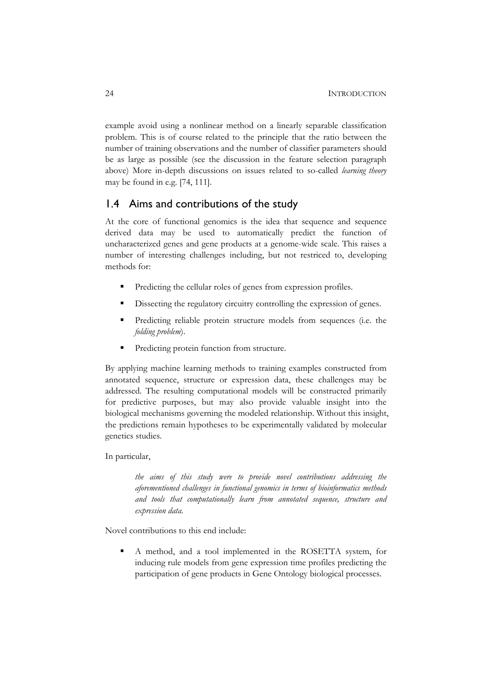example avoid using a nonlinear method on a linearly separable classification problem. This is of course related to the principle that the ratio between the number of training observations and the number of classifier parameters should be as large as possible (see the discussion in the feature selection paragraph above) More in-depth discussions on issues related to so-called *learning theory* may be found in e.g. [74, 111].

# 1.4 Aims and contributions of the study

At the core of functional genomics is the idea that sequence and sequence derived data may be used to automatically predict the function of uncharacterized genes and gene products at a genome-wide scale. This raises a number of interesting challenges including, but not restriced to, developing methods for:

- Predicting the cellular roles of genes from expression profiles.
- Dissecting the regulatory circuitry controlling the expression of genes.
- Predicting reliable protein structure models from sequences (i.e. the *folding problem*).
- **Predicting protein function from structure.**

By applying machine learning methods to training examples constructed from annotated sequence, structure or expression data, these challenges may be addressed. The resulting computational models will be constructed primarily for predictive purposes, but may also provide valuable insight into the biological mechanisms governing the modeled relationship. Without this insight, the predictions remain hypotheses to be experimentally validated by molecular genetics studies.

# In particular,

*the aims of this study were to provide novel contributions addressing the aforementioned challenges in functional genomics in terms of bioinformatics methods and tools that computationally learn from annotated sequence, structure and expression data.*

Novel contributions to this end include:

 A method, and a tool implemented in the ROSETTA system, for inducing rule models from gene expression time profiles predicting the participation of gene products in Gene Ontology biological processes.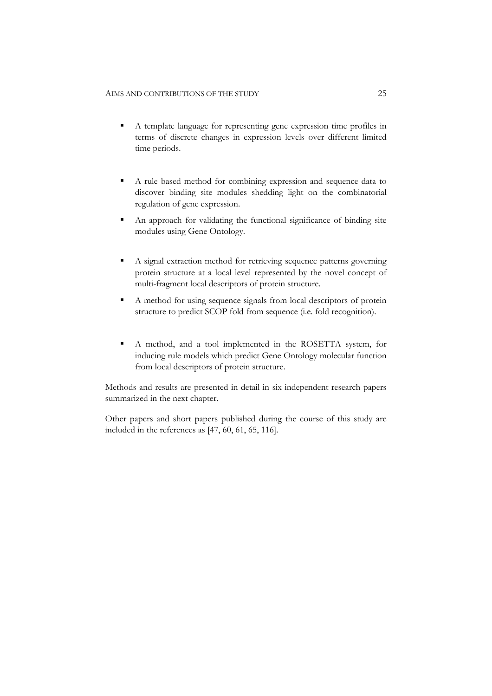- A template language for representing gene expression time profiles in terms of discrete changes in expression levels over different limited time periods.
- A rule based method for combining expression and sequence data to discover binding site modules shedding light on the combinatorial regulation of gene expression.
- An approach for validating the functional significance of binding site modules using Gene Ontology.
- A signal extraction method for retrieving sequence patterns governing protein structure at a local level represented by the novel concept of multi-fragment local descriptors of protein structure.
- A method for using sequence signals from local descriptors of protein structure to predict SCOP fold from sequence (i.e. fold recognition).
- A method, and a tool implemented in the ROSETTA system, for inducing rule models which predict Gene Ontology molecular function from local descriptors of protein structure.

Methods and results are presented in detail in six independent research papers summarized in the next chapter.

Other papers and short papers published during the course of this study are included in the references as [47, 60, 61, 65, 116].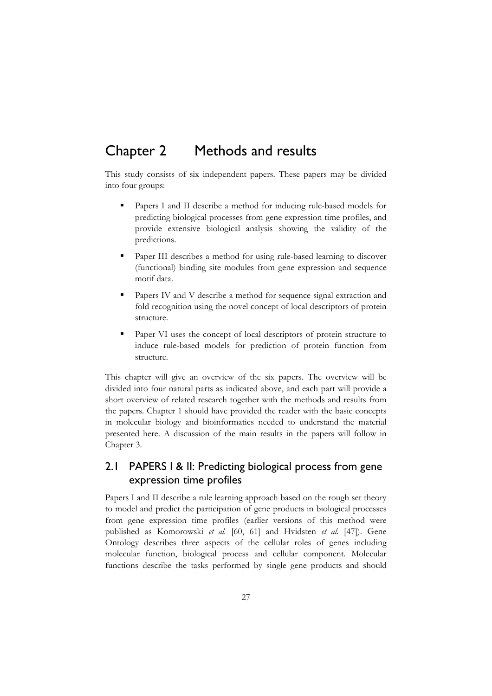# Chapter 2 Methods and results

This study consists of six independent papers. These papers may be divided into four groups:

- Papers I and II describe a method for inducing rule-based models for predicting biological processes from gene expression time profiles, and provide extensive biological analysis showing the validity of the predictions.
- Paper III describes a method for using rule-based learning to discover (functional) binding site modules from gene expression and sequence motif data.
- Papers IV and V describe a method for sequence signal extraction and fold recognition using the novel concept of local descriptors of protein structure.
- Paper VI uses the concept of local descriptors of protein structure to induce rule-based models for prediction of protein function from structure.

This chapter will give an overview of the six papers. The overview will be divided into four natural parts as indicated above, and each part will provide a short overview of related research together with the methods and results from the papers. Chapter 1 should have provided the reader with the basic concepts in molecular biology and bioinformatics needed to understand the material presented here. A discussion of the main results in the papers will follow in Chapter 3.

# 2.1 PAPERS I & II: Predicting biological process from gene expression time profiles

Papers I and II describe a rule learning approach based on the rough set theory to model and predict the participation of gene products in biological processes from gene expression time profiles (earlier versions of this method were published as Komorowski *et al.* [60, 61] and Hvidsten *et al.* [47]). Gene Ontology describes three aspects of the cellular roles of genes including molecular function, biological process and cellular component. Molecular functions describe the tasks performed by single gene products and should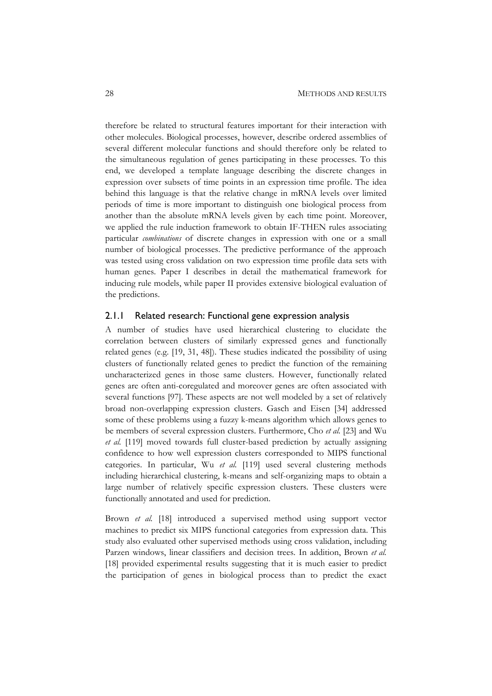therefore be related to structural features important for their interaction with other molecules. Biological processes, however, describe ordered assemblies of several different molecular functions and should therefore only be related to the simultaneous regulation of genes participating in these processes. To this end, we developed a template language describing the discrete changes in expression over subsets of time points in an expression time profile. The idea behind this language is that the relative change in mRNA levels over limited periods of time is more important to distinguish one biological process from another than the absolute mRNA levels given by each time point. Moreover, we applied the rule induction framework to obtain IF-THEN rules associating particular *combinations* of discrete changes in expression with one or a small number of biological processes. The predictive performance of the approach was tested using cross validation on two expression time profile data sets with human genes. Paper I describes in detail the mathematical framework for inducing rule models, while paper II provides extensive biological evaluation of the predictions.

### 2.1.1 Related research: Functional gene expression analysis

A number of studies have used hierarchical clustering to elucidate the correlation between clusters of similarly expressed genes and functionally related genes (e.g. [19, 31, 48]). These studies indicated the possibility of using clusters of functionally related genes to predict the function of the remaining uncharacterized genes in those same clusters. However, functionally related genes are often anti-coregulated and moreover genes are often associated with several functions [97]. These aspects are not well modeled by a set of relatively broad non-overlapping expression clusters. Gasch and Eisen [34] addressed some of these problems using a fuzzy k-means algorithm which allows genes to be members of several expression clusters. Furthermore, Cho *et al.* [23] and Wu *et al.* [119] moved towards full cluster-based prediction by actually assigning confidence to how well expression clusters corresponded to MIPS functional categories. In particular, Wu *et al.* [119] used several clustering methods including hierarchical clustering, k-means and self-organizing maps to obtain a large number of relatively specific expression clusters. These clusters were functionally annotated and used for prediction.

Brown *et al.* [18] introduced a supervised method using support vector machines to predict six MIPS functional categories from expression data. This study also evaluated other supervised methods using cross validation, including Parzen windows, linear classifiers and decision trees. In addition, Brown *et al.* [18] provided experimental results suggesting that it is much easier to predict the participation of genes in biological process than to predict the exact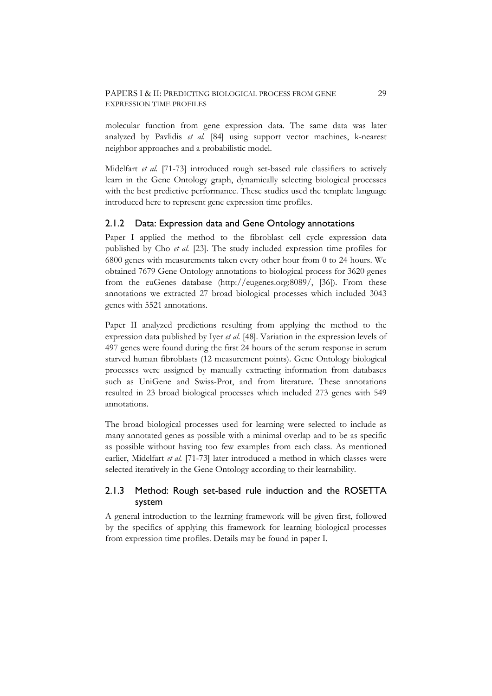#### PAPERS I & II: PREDICTING BIOLOGICAL PROCESS FROM GENE 29 EXPRESSION TIME PROFILES

molecular function from gene expression data. The same data was later analyzed by Pavlidis *et al.* [84] using support vector machines, k-nearest neighbor approaches and a probabilistic model.

Midelfart *et al.* [71-73] introduced rough set-based rule classifiers to actively learn in the Gene Ontology graph, dynamically selecting biological processes with the best predictive performance. These studies used the template language introduced here to represent gene expression time profiles.

### 2.1.2 Data: Expression data and Gene Ontology annotations

Paper I applied the method to the fibroblast cell cycle expression data published by Cho *et al.* [23]. The study included expression time profiles for 6800 genes with measurements taken every other hour from 0 to 24 hours. We obtained 7679 Gene Ontology annotations to biological process for 3620 genes from the euGenes database (http://eugenes.org:8089/, [36]). From these annotations we extracted 27 broad biological processes which included 3043 genes with 5521 annotations.

Paper II analyzed predictions resulting from applying the method to the expression data published by Iyer *et al.* [48]. Variation in the expression levels of 497 genes were found during the first 24 hours of the serum response in serum starved human fibroblasts (12 measurement points). Gene Ontology biological processes were assigned by manually extracting information from databases such as UniGene and Swiss-Prot, and from literature. These annotations resulted in 23 broad biological processes which included 273 genes with 549 annotations.

The broad biological processes used for learning were selected to include as many annotated genes as possible with a minimal overlap and to be as specific as possible without having too few examples from each class. As mentioned earlier, Midelfart *et al.* [71-73] later introduced a method in which classes were selected iteratively in the Gene Ontology according to their learnability.

## 2.1.3 Method: Rough set-based rule induction and the ROSETTA system

A general introduction to the learning framework will be given first, followed by the specifics of applying this framework for learning biological processes from expression time profiles. Details may be found in paper I.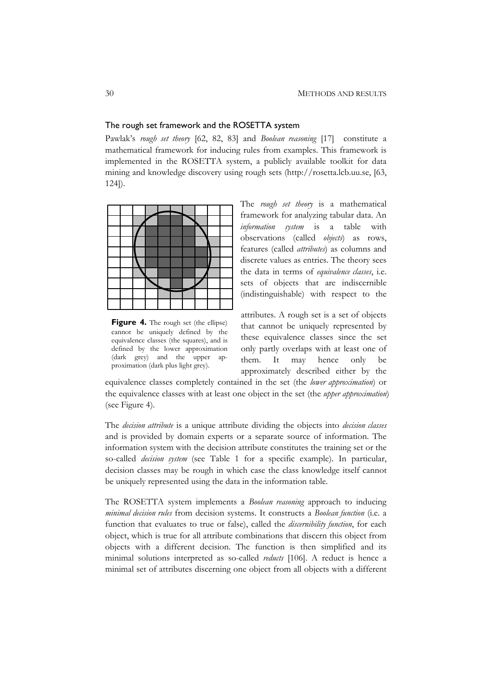#### The rough set framework and the ROSETTA system

Pawlak's *rough set theory* [62, 82, 83] and *Boolean reasoning* [17] constitute a mathematical framework for inducing rules from examples. This framework is implemented in the ROSETTA system, a publicly available toolkit for data mining and knowledge discovery using rough sets (http://rosetta.lcb.uu.se, [63, 124]).



**Figure 4.** The rough set (the ellipse) cannot be uniquely defined by the equivalence classes (the squares), and is defined by the lower approximation (dark grey) and the upper approximation (dark plus light grey).

The *rough set theory* is a mathematical framework for analyzing tabular data. An *information system* is a table with observations (called *objects*) as rows, features (called *attributes*) as columns and discrete values as entries. The theory sees the data in terms of *equivalence classes*, i.e. sets of objects that are indiscernible (indistinguishable) with respect to the

attributes. A rough set is a set of objects that cannot be uniquely represented by these equivalence classes since the set only partly overlaps with at least one of them. It may hence only be approximately described either by the

equivalence classes completely contained in the set (the *lower approximation*) or the equivalence classes with at least one object in the set (the *upper approximation*) (see Figure 4).

The *decision attribute* is a unique attribute dividing the objects into *decision classes* and is provided by domain experts or a separate source of information. The information system with the decision attribute constitutes the training set or the so-called *decision system* (see Table 1 for a specific example). In particular, decision classes may be rough in which case the class knowledge itself cannot be uniquely represented using the data in the information table.

The ROSETTA system implements a *Boolean reasoning* approach to inducing *minimal decision rules* from decision systems. It constructs a *Boolean function* (i.e. a function that evaluates to true or false), called the *discernibility function*, for each object, which is true for all attribute combinations that discern this object from objects with a different decision. The function is then simplified and its minimal solutions interpreted as so-called *reducts* [106]. A reduct is hence a minimal set of attributes discerning one object from all objects with a different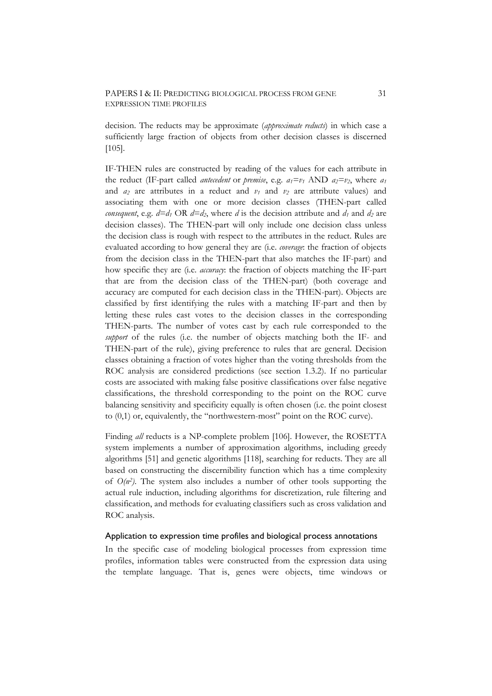### PAPERS I & II: PREDICTING BIOLOGICAL PROCESS FROM GENE 31 EXPRESSION TIME PROFILES

decision. The reducts may be approximate (*approximate reducts*) in which case a sufficiently large fraction of objects from other decision classes is discerned [105].

IF-THEN rules are constructed by reading of the values for each attribute in the reduct (IF-part called *antecedent* or *premise*, e.g.  $a_1 = v_1$  AND  $a_2 = v_2$ , where  $a_1$ and  $a_2$  are attributes in a reduct and  $v_1$  and  $v_2$  are attribute values) and associating them with one or more decision classes (THEN-part called *consequent*, e.g.  $d=d_1 \text{ OR } d=d_2$ , where *d* is the decision attribute and  $d_1$  and  $d_2$  are decision classes). The THEN-part will only include one decision class unless the decision class is rough with respect to the attributes in the reduct. Rules are evaluated according to how general they are (i.e. *coverage*: the fraction of objects from the decision class in the THEN-part that also matches the IF-part) and how specific they are (i.e. *accuracy*: the fraction of objects matching the IF-part that are from the decision class of the THEN-part) (both coverage and accuracy are computed for each decision class in the THEN-part). Objects are classified by first identifying the rules with a matching IF-part and then by letting these rules cast votes to the decision classes in the corresponding THEN-parts. The number of votes cast by each rule corresponded to the *support* of the rules (i.e. the number of objects matching both the IF- and THEN-part of the rule), giving preference to rules that are general. Decision classes obtaining a fraction of votes higher than the voting thresholds from the ROC analysis are considered predictions (see section 1.3.2). If no particular costs are associated with making false positive classifications over false negative classifications, the threshold corresponding to the point on the ROC curve balancing sensitivity and specificity equally is often chosen (i.e. the point closest to (0,1) or, equivalently, the "northwestern-most" point on the ROC curve).

Finding *all* reducts is a NP-complete problem [106]. However, the ROSETTA system implements a number of approximation algorithms, including greedy algorithms [51] and genetic algorithms [118], searching for reducts. They are all based on constructing the discernibility function which has a time complexity of *O(n2)*. The system also includes a number of other tools supporting the actual rule induction, including algorithms for discretization, rule filtering and classification, and methods for evaluating classifiers such as cross validation and ROC analysis.

#### Application to expression time profiles and biological process annotations

In the specific case of modeling biological processes from expression time profiles, information tables were constructed from the expression data using the template language. That is, genes were objects, time windows or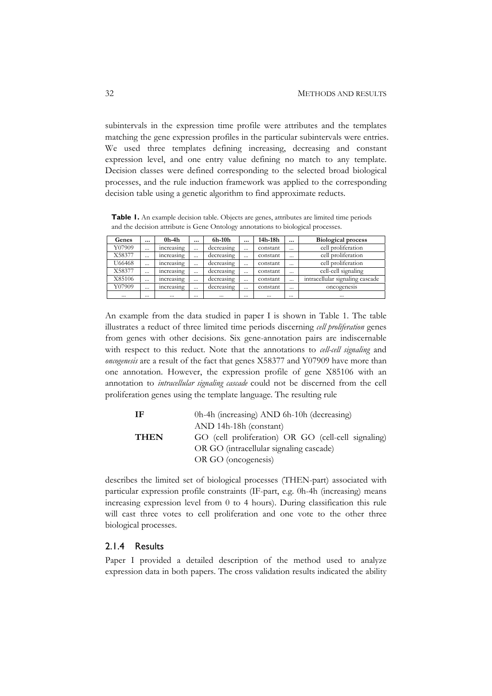subintervals in the expression time profile were attributes and the templates matching the gene expression profiles in the particular subintervals were entries. We used three templates defining increasing, decreasing and constant expression level, and one entry value defining no match to any template. Decision classes were defined corresponding to the selected broad biological processes, and the rule induction framework was applied to the corresponding decision table using a genetic algorithm to find approximate reducts.

Table 1. An example decision table. Objects are genes, attributes are limited time periods and the decision attribute is Gene Ontology annotations to biological processes.

| Genes    | $\cdots$ | $0h-4h$    | $\cdots$ | 6h-10h     | $\cdots$ | 14h-18h  | $\cdots$ | <b>Biological process</b>       |  |  |
|----------|----------|------------|----------|------------|----------|----------|----------|---------------------------------|--|--|
| Y07909   | $\cdots$ | increasing | $\cdots$ | decreasing | $\cdots$ | constant | $\cdots$ | cell proliferation              |  |  |
| X58377   | $\cdots$ | increasing | $\cdots$ | decreasing | $\cdots$ | constant | $\cdots$ | cell proliferation              |  |  |
| U66468   | $\cdots$ | increasing | $\cdots$ | decreasing | $\cdots$ | constant | $\cdots$ | cell proliferation              |  |  |
| X58377   | $\cdots$ | increasing | $\cdots$ | decreasing | $\cdots$ | constant | $\cdots$ | cell-cell signaling             |  |  |
| X85106   | $\cdots$ | increasing | $\cdots$ | decreasing | $\cdots$ | constant | $\cdots$ | intracellular signaling cascade |  |  |
| Y07909   | $\cdots$ | increasing | $\cdots$ | decreasing | $\cdots$ | constant | $\cdots$ | oncogenesis                     |  |  |
| $\cdots$ | $\cdots$ | $\cdots$   | $\cdots$ |            | $\cdots$ | $\cdots$ | $\cdots$ | $\cdots$                        |  |  |

An example from the data studied in paper I is shown in Table 1. The table illustrates a reduct of three limited time periods discerning *cell proliferation* genes from genes with other decisions. Six gene-annotation pairs are indiscernable with respect to this reduct. Note that the annotations to *cell-cell signaling* and *oncogenesis* are a result of the fact that genes X58377 and Y07909 have more than one annotation. However, the expression profile of gene X85106 with an annotation to *intracellular signaling cascade* could not be discerned from the cell proliferation genes using the template language. The resulting rule

| - IF        | 0h-4h (increasing) AND 6h-10h (decreasing)          |  |  |  |  |  |  |  |
|-------------|-----------------------------------------------------|--|--|--|--|--|--|--|
|             | AND 14h-18h (constant)                              |  |  |  |  |  |  |  |
| <b>THEN</b> | GO (cell proliferation) OR GO (cell-cell signaling) |  |  |  |  |  |  |  |
|             | OR GO (intracellular signaling cascade)             |  |  |  |  |  |  |  |
|             | OR GO (oncogenesis)                                 |  |  |  |  |  |  |  |

describes the limited set of biological processes (THEN-part) associated with particular expression profile constraints (IF-part, e.g. 0h-4h (increasing) means increasing expression level from 0 to 4 hours). During classification this rule will cast three votes to cell proliferation and one vote to the other three biological processes.

## 2.1.4 Results

Paper I provided a detailed description of the method used to analyze expression data in both papers. The cross validation results indicated the ability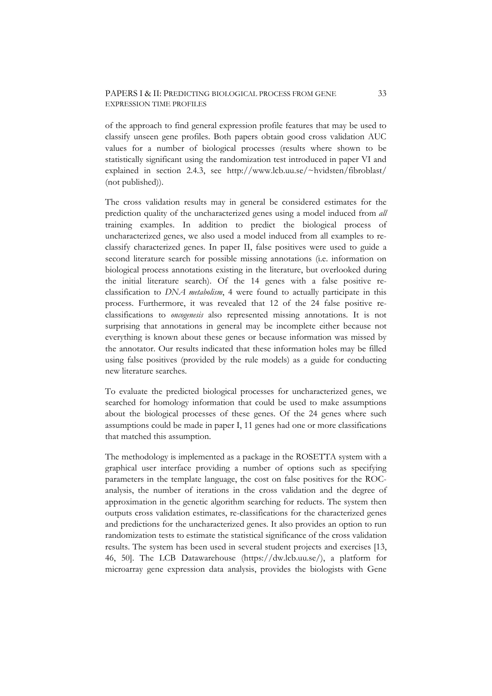### PAPERS I & II: PREDICTING BIOLOGICAL PROCESS FROM GENE 33 EXPRESSION TIME PROFILES

of the approach to find general expression profile features that may be used to classify unseen gene profiles. Both papers obtain good cross validation AUC values for a number of biological processes (results where shown to be statistically significant using the randomization test introduced in paper VI and explained in section 2.4.3, see http://www.lcb.uu.se/~hvidsten/fibroblast/ (not published)).

The cross validation results may in general be considered estimates for the prediction quality of the uncharacterized genes using a model induced from *all* training examples. In addition to predict the biological process of uncharacterized genes, we also used a model induced from all examples to reclassify characterized genes. In paper II, false positives were used to guide a second literature search for possible missing annotations (i.e. information on biological process annotations existing in the literature, but overlooked during the initial literature search). Of the 14 genes with a false positive reclassification to *DNA metabolism*, 4 were found to actually participate in this process. Furthermore, it was revealed that 12 of the 24 false positive reclassifications to *oncogenesis* also represented missing annotations. It is not surprising that annotations in general may be incomplete either because not everything is known about these genes or because information was missed by the annotator. Our results indicated that these information holes may be filled using false positives (provided by the rule models) as a guide for conducting new literature searches.

To evaluate the predicted biological processes for uncharacterized genes, we searched for homology information that could be used to make assumptions about the biological processes of these genes. Of the 24 genes where such assumptions could be made in paper I, 11 genes had one or more classifications that matched this assumption.

The methodology is implemented as a package in the ROSETTA system with a graphical user interface providing a number of options such as specifying parameters in the template language, the cost on false positives for the ROCanalysis, the number of iterations in the cross validation and the degree of approximation in the genetic algorithm searching for reducts. The system then outputs cross validation estimates, re-classifications for the characterized genes and predictions for the uncharacterized genes. It also provides an option to run randomization tests to estimate the statistical significance of the cross validation results. The system has been used in several student projects and exercises [13, 46, 50]. The LCB Datawarehouse (https://dw.lcb.uu.se/), a platform for microarray gene expression data analysis, provides the biologists with Gene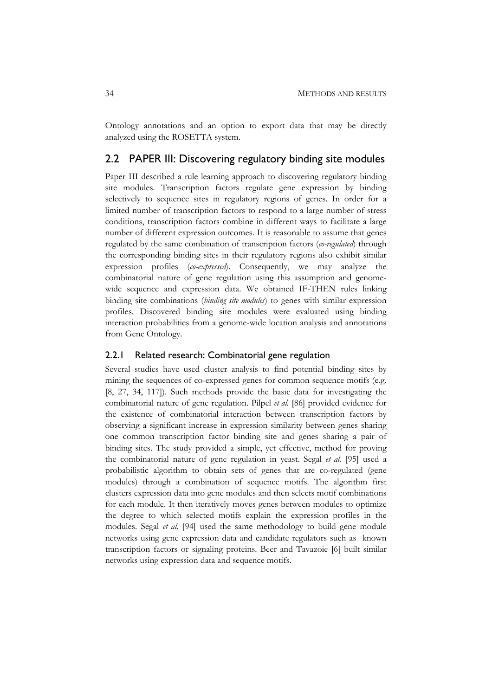Ontology annotations and an option to export data that may be directly analyzed using the ROSETTA system.

## 2.2 PAPER III: Discovering regulatory binding site modules

Paper III described a rule learning approach to discovering regulatory binding site modules. Transcription factors regulate gene expression by binding selectively to sequence sites in regulatory regions of genes. In order for a limited number of transcription factors to respond to a large number of stress conditions, transcription factors combine in different ways to facilitate a large number of different expression outcomes. It is reasonable to assume that genes regulated by the same combination of transcription factors (*co-regulated*) through the corresponding binding sites in their regulatory regions also exhibit similar expression profiles (*co-expressed*). Consequently, we may analyze the combinatorial nature of gene regulation using this assumption and genomewide sequence and expression data. We obtained IF-THEN rules linking binding site combinations (*binding site modules*) to genes with similar expression profiles. Discovered binding site modules were evaluated using binding interaction probabilities from a genome-wide location analysis and annotations from Gene Ontology.

### 2.2.1 Related research: Combinatorial gene regulation

Several studies have used cluster analysis to find potential binding sites by mining the sequences of co-expressed genes for common sequence motifs (e.g. [8, 27, 34, 117]). Such methods provide the basic data for investigating the combinatorial nature of gene regulation. Pilpel *et al.* [86] provided evidence for the existence of combinatorial interaction between transcription factors by observing a significant increase in expression similarity between genes sharing one common transcription factor binding site and genes sharing a pair of binding sites. The study provided a simple, yet effective, method for proving the combinatorial nature of gene regulation in yeast. Segal *et al.* [95] used a probabilistic algorithm to obtain sets of genes that are co-regulated (gene modules) through a combination of sequence motifs. The algorithm first clusters expression data into gene modules and then selects motif combinations for each module. It then iteratively moves genes between modules to optimize the degree to which selected motifs explain the expression profiles in the modules. Segal *et al.* [94] used the same methodology to build gene module networks using gene expression data and candidate regulators such as known transcription factors or signaling proteins. Beer and Tavazoie [6] built similar networks using expression data and sequence motifs.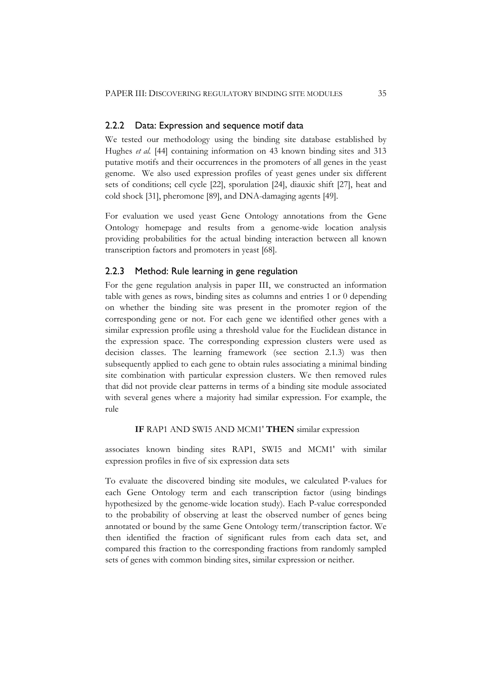### 2.2.2 Data: Expression and sequence motif data

We tested our methodology using the binding site database established by Hughes *et al.* [44] containing information on 43 known binding sites and 313 putative motifs and their occurrences in the promoters of all genes in the yeast genome. We also used expression profiles of yeast genes under six different sets of conditions; cell cycle [22], sporulation [24], diauxic shift [27], heat and cold shock [31], pheromone [89], and DNA-damaging agents [49].

For evaluation we used yeast Gene Ontology annotations from the Gene Ontology homepage and results from a genome-wide location analysis providing probabilities for the actual binding interaction between all known transcription factors and promoters in yeast [68].

### 2.2.3 Method: Rule learning in gene regulation

For the gene regulation analysis in paper III, we constructed an information table with genes as rows, binding sites as columns and entries 1 or 0 depending on whether the binding site was present in the promoter region of the corresponding gene or not. For each gene we identified other genes with a similar expression profile using a threshold value for the Euclidean distance in the expression space. The corresponding expression clusters were used as decision classes. The learning framework (see section 2.1.3) was then subsequently applied to each gene to obtain rules associating a minimal binding site combination with particular expression clusters. We then removed rules that did not provide clear patterns in terms of a binding site module associated with several genes where a majority had similar expression. For example, the rule

### **IF** RAP1 AND SWI5 AND MCM1' **THEN** similar expression

associates known binding sites RAP1, SWI5 and MCM1' with similar expression profiles in five of six expression data sets

To evaluate the discovered binding site modules, we calculated P-values for each Gene Ontology term and each transcription factor (using bindings hypothesized by the genome-wide location study). Each P-value corresponded to the probability of observing at least the observed number of genes being annotated or bound by the same Gene Ontology term/transcription factor. We then identified the fraction of significant rules from each data set, and compared this fraction to the corresponding fractions from randomly sampled sets of genes with common binding sites, similar expression or neither.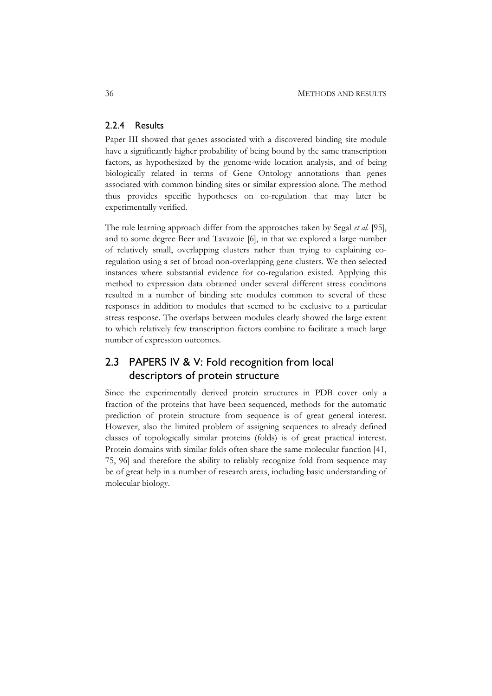## 2.2.4 Results

Paper III showed that genes associated with a discovered binding site module have a significantly higher probability of being bound by the same transcription factors, as hypothesized by the genome-wide location analysis, and of being biologically related in terms of Gene Ontology annotations than genes associated with common binding sites or similar expression alone. The method thus provides specific hypotheses on co-regulation that may later be experimentally verified.

The rule learning approach differ from the approaches taken by Segal *et al.* [95], and to some degree Beer and Tavazoie [6], in that we explored a large number of relatively small, overlapping clusters rather than trying to explaining coregulation using a set of broad non-overlapping gene clusters. We then selected instances where substantial evidence for co-regulation existed. Applying this method to expression data obtained under several different stress conditions resulted in a number of binding site modules common to several of these responses in addition to modules that seemed to be exclusive to a particular stress response. The overlaps between modules clearly showed the large extent to which relatively few transcription factors combine to facilitate a much large number of expression outcomes.

## 2.3 PAPERS IV & V: Fold recognition from local descriptors of protein structure

Since the experimentally derived protein structures in PDB cover only a fraction of the proteins that have been sequenced, methods for the automatic prediction of protein structure from sequence is of great general interest. However, also the limited problem of assigning sequences to already defined classes of topologically similar proteins (folds) is of great practical interest. Protein domains with similar folds often share the same molecular function [41, 75, 96] and therefore the ability to reliably recognize fold from sequence may be of great help in a number of research areas, including basic understanding of molecular biology.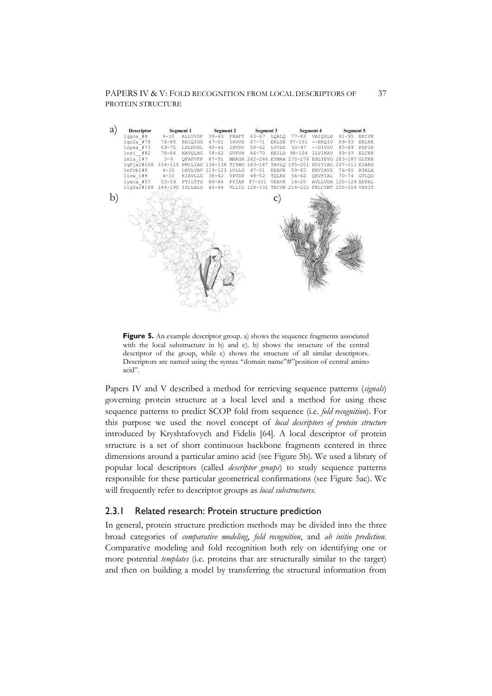PAPERS IV & V: FOLD RECOGNITION FROM LOCAL DESCRIPTORS OF 37 PROTEIN STRUCTURE

| a  | <b>Descriptor</b><br>Segment 1 Segment 2 Segment 3                                   |               |                             |           |       |  | Segment 4 |             | Segment 5                                                        |             |  |
|----|--------------------------------------------------------------------------------------|---------------|-----------------------------|-----------|-------|--|-----------|-------------|------------------------------------------------------------------|-------------|--|
|    | $1qqoa$ #8                                                                           |               | 4-10 ALLVVSF 39-43 FRAFT    |           |       |  |           |             | 63-67 LOALO 77-83 VAIOSLH 91-95 EKIVR                            |             |  |
|    | 1qo2a #78                                                                            |               | 74-80 EHIQIGG               | $47 - 51$ | IHVVD |  |           |             | 67-71 EKLSE 97-101 --RRQIV                                       | 89-93 EKLRK |  |
|    | $1rpxa$ #73                                                                          | 69-75 LPLDVHL |                             | $40 - 44$ | IHVDV |  |           |             | 58-62 LVVDS 93-97 -- DIVSV 85-89 PDFIK                           |             |  |
|    | $1ns1$ #82                                                                           |               |                             |           |       |  |           |             | 78-84 NAVOLHG 58-62 GVFVN 66-70 EKILD 98-104 ILVIKAV 89-93 ELCRK |             |  |
|    | 1mla 1#7                                                                             | $3 - 9$       |                             |           |       |  |           |             | OFAFVFP 87-91 MMAGH 262-266 EYMAA 270-276 EHLYEVG 283-287 GLTKR  |             |  |
|    | 1qfja2#108 104-110 PMILIAG 134-138 TIYWG 183-187 TAVLO 195-201 HDIYIAG 207-211 KIARD |               |                             |           |       |  |           |             |                                                                  |             |  |
|    | lefvb1#8                                                                             | $4 - 10$      | LRVLVAV 119-123 LVLLG 47-51 |           |       |  |           | EEAVR 59-65 | KEVIAVS                                                          | 76-80 RTALA |  |
|    | 1iow 1#8 4-10 KIAVLLG 38-42 YPVDP 48-52 TOLKS 56-62 OKVFIAL 70-74 GTLOG              |               |                             |           |       |  |           |             |                                                                  |             |  |
|    | 1yaca #57 53-59 PTILTTS 80-84 PYIAR 97-101 VKAVK 14-20 AVLLVDH 120-124 AFPAL         |               |                             |           |       |  |           |             |                                                                  |             |  |
|    | lig0a2#188 184-190 ISLLALG 40-44 TLLIL 128-132 TKCVN 216-222 FKLCYMT 200-204 VHSIT   |               |                             |           |       |  |           |             |                                                                  |             |  |
| b) |                                                                                      |               |                             |           |       |  |           |             |                                                                  |             |  |

**Figure 5.** An example descriptor group. a) shows the sequence fragments associated with the local substructure in b) and c). b) shows the structure of the central descriptor of the group, while c) shows the structure of all similar descriptors. Descriptors are named using the syntax "domain name"#"position of central amino acid".

Papers IV and V described a method for retrieving sequence patterns (*signals*) governing protein structure at a local level and a method for using these sequence patterns to predict SCOP fold from sequence (i.e. *fold recognition*). For this purpose we used the novel concept of *local descriptors of protein structure* introduced by Kryshtafovych and Fidelis [64]. A local descriptor of protein structure is a set of short continuous backbone fragments centered in three dimensions around a particular amino acid (see Figure 5b). We used a library of popular local descriptors (called *descriptor groups*) to study sequence patterns responsible for these particular geometrical confirmations (see Figure 5ac). We will frequently refer to descriptor groups as *local substructures*.

## 2.3.1 Related research: Protein structure prediction

In general, protein structure prediction methods may be divided into the three broad categories of *comparative modeling*, *fold recognition*, and *ab initio prediction*. Comparative modeling and fold recognition both rely on identifying one or more potential *templates* (i.e. proteins that are structurally similar to the target) and then on building a model by transferring the structural information from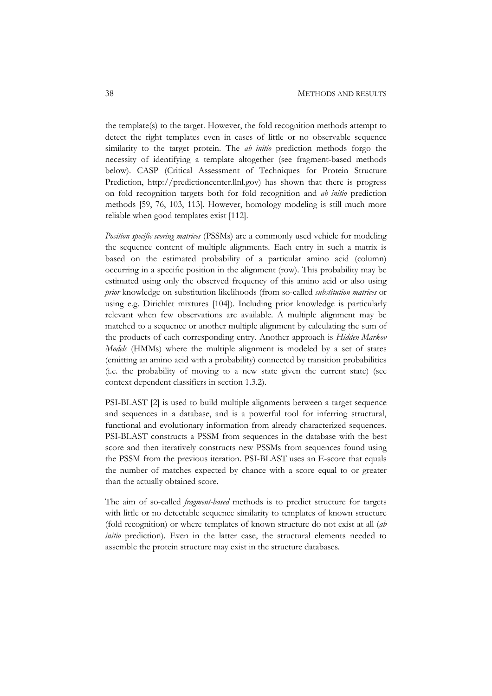the template(s) to the target. However, the fold recognition methods attempt to detect the right templates even in cases of little or no observable sequence similarity to the target protein. The *ab initio* prediction methods forgo the necessity of identifying a template altogether (see fragment-based methods below). CASP (Critical Assessment of Techniques for Protein Structure Prediction, http://predictioncenter.llnl.gov) has shown that there is progress on fold recognition targets both for fold recognition and *ab initio* prediction methods [59, 76, 103, 113]. However, homology modeling is still much more reliable when good templates exist [112].

*Position specific scoring matrices* (PSSMs) are a commonly used vehicle for modeling the sequence content of multiple alignments. Each entry in such a matrix is based on the estimated probability of a particular amino acid (column) occurring in a specific position in the alignment (row). This probability may be estimated using only the observed frequency of this amino acid or also using *prior* knowledge on substitution likelihoods (from so-called *substitution matrices* or using e.g. Dirichlet mixtures [104]). Including prior knowledge is particularly relevant when few observations are available. A multiple alignment may be matched to a sequence or another multiple alignment by calculating the sum of the products of each corresponding entry. Another approach is *Hidden Markov Models* (HMMs) where the multiple alignment is modeled by a set of states (emitting an amino acid with a probability) connected by transition probabilities (i.e. the probability of moving to a new state given the current state) (see context dependent classifiers in section 1.3.2).

PSI-BLAST [2] is used to build multiple alignments between a target sequence and sequences in a database, and is a powerful tool for inferring structural, functional and evolutionary information from already characterized sequences. PSI-BLAST constructs a PSSM from sequences in the database with the best score and then iteratively constructs new PSSMs from sequences found using the PSSM from the previous iteration. PSI-BLAST uses an E-score that equals the number of matches expected by chance with a score equal to or greater than the actually obtained score.

The aim of so-called *fragment-based* methods is to predict structure for targets with little or no detectable sequence similarity to templates of known structure (fold recognition) or where templates of known structure do not exist at all (*ab initio* prediction). Even in the latter case, the structural elements needed to assemble the protein structure may exist in the structure databases.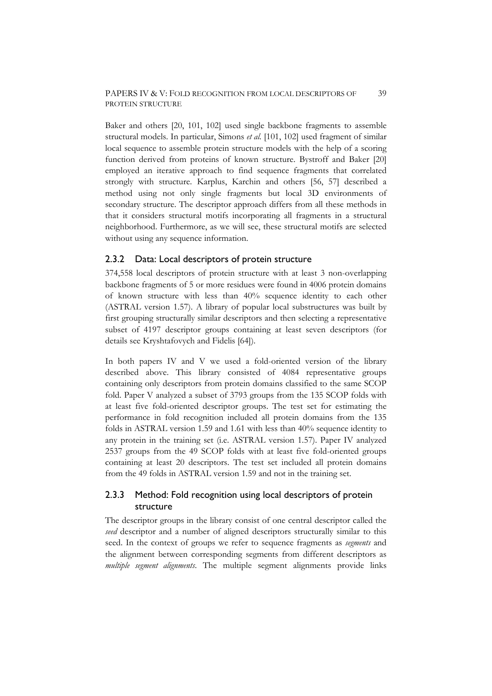Baker and others [20, 101, 102] used single backbone fragments to assemble structural models. In particular, Simons *et al.* [101, 102] used fragment of similar local sequence to assemble protein structure models with the help of a scoring function derived from proteins of known structure. Bystroff and Baker [20] employed an iterative approach to find sequence fragments that correlated strongly with structure. Karplus, Karchin and others [56, 57] described a method using not only single fragments but local 3D environments of secondary structure. The descriptor approach differs from all these methods in that it considers structural motifs incorporating all fragments in a structural neighborhood. Furthermore, as we will see, these structural motifs are selected without using any sequence information.

## 2.3.2 Data: Local descriptors of protein structure

374,558 local descriptors of protein structure with at least 3 non-overlapping backbone fragments of 5 or more residues were found in 4006 protein domains of known structure with less than 40% sequence identity to each other (ASTRAL version 1.57). A library of popular local substructures was built by first grouping structurally similar descriptors and then selecting a representative subset of 4197 descriptor groups containing at least seven descriptors (for details see Kryshtafovych and Fidelis [64]).

In both papers IV and V we used a fold-oriented version of the library described above. This library consisted of 4084 representative groups containing only descriptors from protein domains classified to the same SCOP fold. Paper V analyzed a subset of 3793 groups from the 135 SCOP folds with at least five fold-oriented descriptor groups. The test set for estimating the performance in fold recognition included all protein domains from the 135 folds in ASTRAL version 1.59 and 1.61 with less than 40% sequence identity to any protein in the training set (i.e. ASTRAL version 1.57). Paper IV analyzed 2537 groups from the 49 SCOP folds with at least five fold-oriented groups containing at least 20 descriptors. The test set included all protein domains from the 49 folds in ASTRAL version 1.59 and not in the training set.

## 2.3.3 Method: Fold recognition using local descriptors of protein structure

The descriptor groups in the library consist of one central descriptor called the *seed* descriptor and a number of aligned descriptors structurally similar to this seed. In the context of groups we refer to sequence fragments as *segments* and the alignment between corresponding segments from different descriptors as *multiple segment alignments*. The multiple segment alignments provide links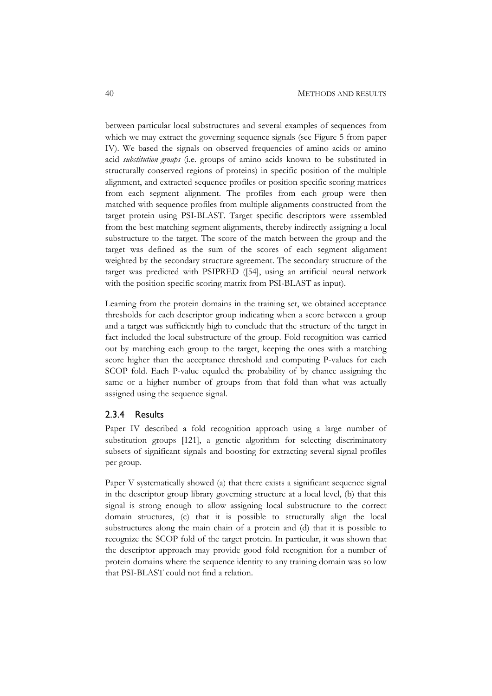between particular local substructures and several examples of sequences from which we may extract the governing sequence signals (see Figure 5 from paper IV). We based the signals on observed frequencies of amino acids or amino acid *substitution groups* (i.e. groups of amino acids known to be substituted in structurally conserved regions of proteins) in specific position of the multiple alignment, and extracted sequence profiles or position specific scoring matrices from each segment alignment. The profiles from each group were then matched with sequence profiles from multiple alignments constructed from the target protein using PSI-BLAST. Target specific descriptors were assembled from the best matching segment alignments, thereby indirectly assigning a local substructure to the target. The score of the match between the group and the target was defined as the sum of the scores of each segment alignment weighted by the secondary structure agreement. The secondary structure of the target was predicted with PSIPRED ([54], using an artificial neural network with the position specific scoring matrix from PSI-BLAST as input).

Learning from the protein domains in the training set, we obtained acceptance thresholds for each descriptor group indicating when a score between a group and a target was sufficiently high to conclude that the structure of the target in fact included the local substructure of the group. Fold recognition was carried out by matching each group to the target, keeping the ones with a matching score higher than the acceptance threshold and computing P-values for each SCOP fold. Each P-value equaled the probability of by chance assigning the same or a higher number of groups from that fold than what was actually assigned using the sequence signal.

#### 2.3.4 Results

Paper IV described a fold recognition approach using a large number of substitution groups [121], a genetic algorithm for selecting discriminatory subsets of significant signals and boosting for extracting several signal profiles per group.

Paper V systematically showed (a) that there exists a significant sequence signal in the descriptor group library governing structure at a local level, (b) that this signal is strong enough to allow assigning local substructure to the correct domain structures, (c) that it is possible to structurally align the local substructures along the main chain of a protein and (d) that it is possible to recognize the SCOP fold of the target protein. In particular, it was shown that the descriptor approach may provide good fold recognition for a number of protein domains where the sequence identity to any training domain was so low that PSI-BLAST could not find a relation.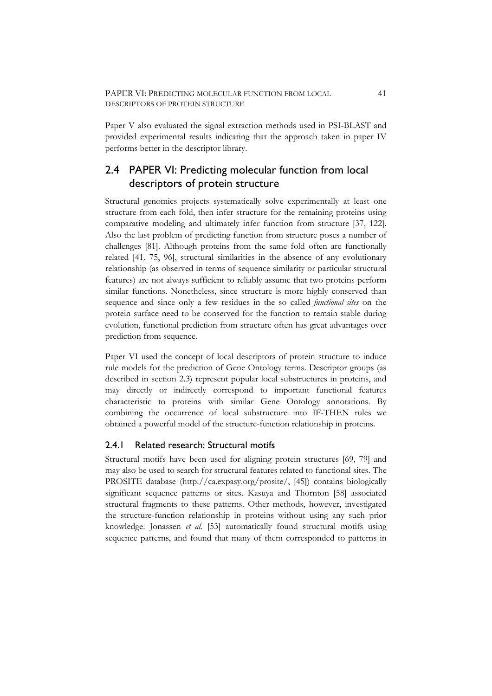Paper V also evaluated the signal extraction methods used in PSI-BLAST and provided experimental results indicating that the approach taken in paper IV performs better in the descriptor library.

# 2.4 PAPER VI: Predicting molecular function from local descriptors of protein structure

Structural genomics projects systematically solve experimentally at least one structure from each fold, then infer structure for the remaining proteins using comparative modeling and ultimately infer function from structure [37, 122]. Also the last problem of predicting function from structure poses a number of challenges [81]. Although proteins from the same fold often are functionally related [41, 75, 96], structural similarities in the absence of any evolutionary relationship (as observed in terms of sequence similarity or particular structural features) are not always sufficient to reliably assume that two proteins perform similar functions. Nonetheless, since structure is more highly conserved than sequence and since only a few residues in the so called *functional sites* on the protein surface need to be conserved for the function to remain stable during evolution, functional prediction from structure often has great advantages over prediction from sequence.

Paper VI used the concept of local descriptors of protein structure to induce rule models for the prediction of Gene Ontology terms. Descriptor groups (as described in section 2.3) represent popular local substructures in proteins, and may directly or indirectly correspond to important functional features characteristic to proteins with similar Gene Ontology annotations. By combining the occurrence of local substructure into IF-THEN rules we obtained a powerful model of the structure-function relationship in proteins.

## 2.4.1 Related research: Structural motifs

Structural motifs have been used for aligning protein structures [69, 79] and may also be used to search for structural features related to functional sites. The PROSITE database (http://ca.expasy.org/prosite/, [45]) contains biologically significant sequence patterns or sites. Kasuya and Thornton [58] associated structural fragments to these patterns. Other methods, however, investigated the structure-function relationship in proteins without using any such prior knowledge. Jonassen *et al.* [53] automatically found structural motifs using sequence patterns, and found that many of them corresponded to patterns in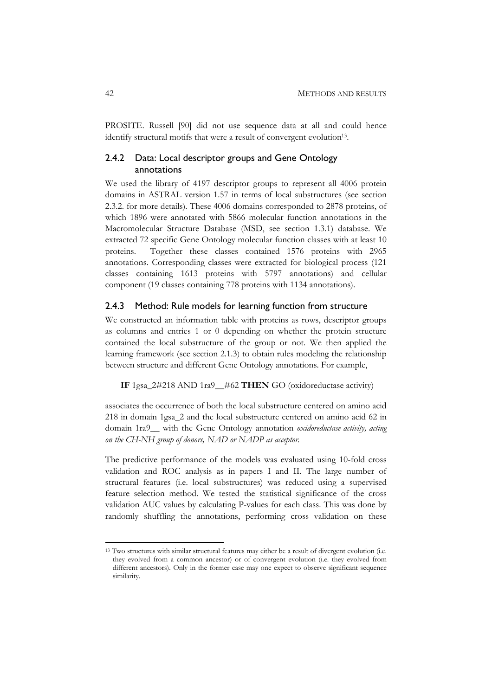PROSITE. Russell [90] did not use sequence data at all and could hence identify structural motifs that were a result of convergent evolution<sup>13</sup>.

## 2.4.2 Data: Local descriptor groups and Gene Ontology annotations

We used the library of 4197 descriptor groups to represent all 4006 protein domains in ASTRAL version 1.57 in terms of local substructures (see section 2.3.2. for more details). These 4006 domains corresponded to 2878 proteins, of which 1896 were annotated with 5866 molecular function annotations in the Macromolecular Structure Database (MSD, see section 1.3.1) database. We extracted 72 specific Gene Ontology molecular function classes with at least 10 proteins. Together these classes contained 1576 proteins with 2965 annotations. Corresponding classes were extracted for biological process (121 classes containing 1613 proteins with 5797 annotations) and cellular component (19 classes containing 778 proteins with 1134 annotations).

### 2.4.3 Method: Rule models for learning function from structure

We constructed an information table with proteins as rows, descriptor groups as columns and entries 1 or 0 depending on whether the protein structure contained the local substructure of the group or not. We then applied the learning framework (see section 2.1.3) to obtain rules modeling the relationship between structure and different Gene Ontology annotations. For example,

## **IF** 1gsa\_2#218 AND 1ra9\_\_#62 **THEN** GO (oxidoreductase activity)

associates the occurrence of both the local substructure centered on amino acid 218 in domain 1gsa\_2 and the local substructure centered on amino acid 62 in domain 1ra9\_\_ with the Gene Ontology annotation *oxidoreductase activity, acting on the CH-NH group of donors, NAD or NADP as acceptor.*

The predictive performance of the models was evaluated using 10-fold cross validation and ROC analysis as in papers I and II. The large number of structural features (i.e. local substructures) was reduced using a supervised feature selection method. We tested the statistical significance of the cross validation AUC values by calculating P-values for each class. This was done by randomly shuffling the annotations, performing cross validation on these

<sup>&</sup>lt;sup>13</sup> Two structures with similar structural features may either be a result of divergent evolution (i.e. they evolved from a common ancestor) or of convergent evolution (i.e. they evolved from different ancestors). Only in the former case may one expect to observe significant sequence similarity.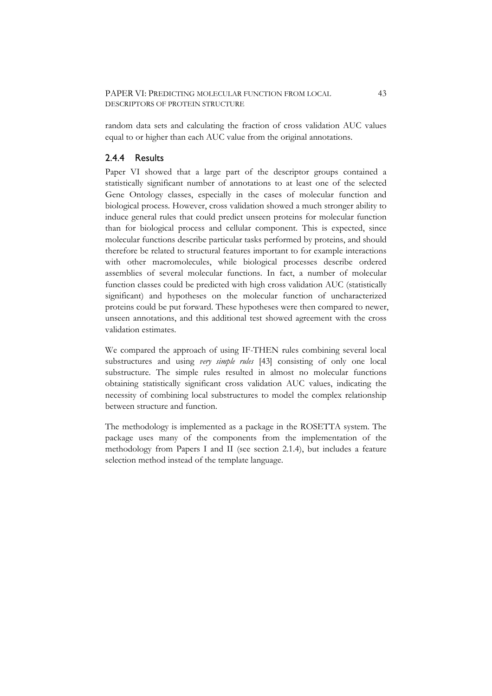random data sets and calculating the fraction of cross validation AUC values equal to or higher than each AUC value from the original annotations.

## 2.4.4 Results

Paper VI showed that a large part of the descriptor groups contained a statistically significant number of annotations to at least one of the selected Gene Ontology classes, especially in the cases of molecular function and biological process. However, cross validation showed a much stronger ability to induce general rules that could predict unseen proteins for molecular function than for biological process and cellular component. This is expected, since molecular functions describe particular tasks performed by proteins, and should therefore be related to structural features important to for example interactions with other macromolecules, while biological processes describe ordered assemblies of several molecular functions. In fact, a number of molecular function classes could be predicted with high cross validation AUC (statistically significant) and hypotheses on the molecular function of uncharacterized proteins could be put forward. These hypotheses were then compared to newer, unseen annotations, and this additional test showed agreement with the cross validation estimates.

We compared the approach of using IF-THEN rules combining several local substructures and using *very simple rules* [43] consisting of only one local substructure. The simple rules resulted in almost no molecular functions obtaining statistically significant cross validation AUC values, indicating the necessity of combining local substructures to model the complex relationship between structure and function.

The methodology is implemented as a package in the ROSETTA system. The package uses many of the components from the implementation of the methodology from Papers I and II (see section 2.1.4), but includes a feature selection method instead of the template language.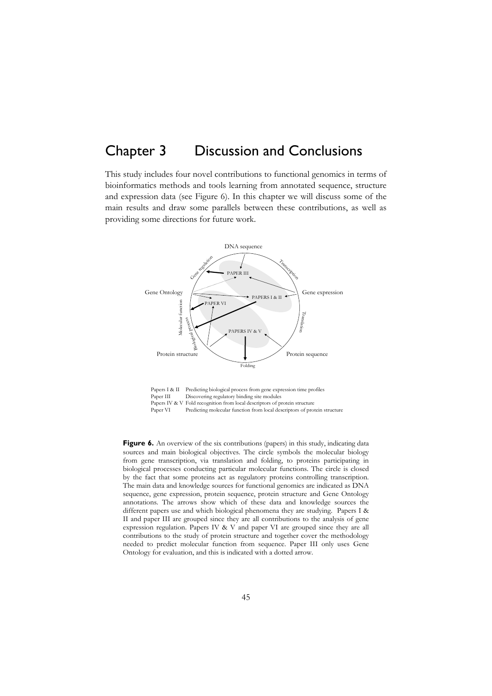# Chapter 3 Discussion and Conclusions

This study includes four novel contributions to functional genomics in terms of bioinformatics methods and tools learning from annotated sequence, structure and expression data (see Figure 6). In this chapter we will discuss some of the main results and draw some parallels between these contributions, as well as providing some directions for future work.



Papers I & II Predicting biological process from gene expression time profiles<br>Paper III Discovering regulatory binding site modules Discovering regulatory binding site modules Papers IV & V Fold recognition from local descriptors of protein structure<br>Paper VI Predicting molecular function from local descriptors of pro Predicting molecular function from local descriptors of protein structure

Figure 6. An overview of the six contributions (papers) in this study, indicating data sources and main biological objectives. The circle symbols the molecular biology from gene transcription, via translation and folding, to proteins participating in biological processes conducting particular molecular functions. The circle is closed by the fact that some proteins act as regulatory proteins controlling transcription. The main data and knowledge sources for functional genomics are indicated as DNA sequence, gene expression, protein sequence, protein structure and Gene Ontology annotations. The arrows show which of these data and knowledge sources the different papers use and which biological phenomena they are studying. Papers I & II and paper III are grouped since they are all contributions to the analysis of gene expression regulation. Papers IV & V and paper VI are grouped since they are all contributions to the study of protein structure and together cover the methodology needed to predict molecular function from sequence. Paper III only uses Gene Ontology for evaluation, and this is indicated with a dotted arrow.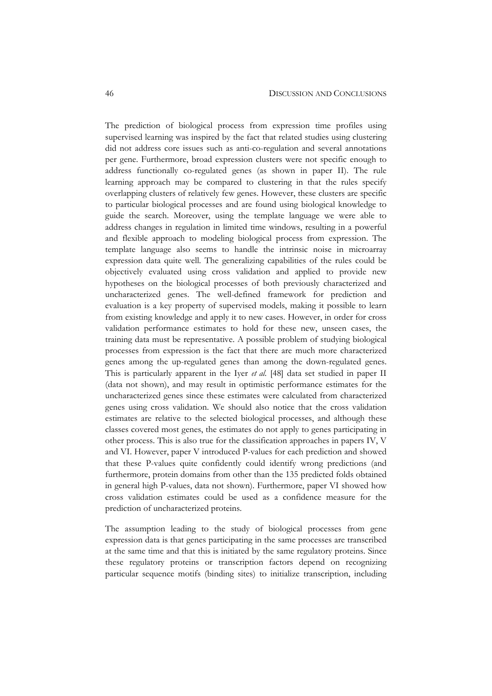The prediction of biological process from expression time profiles using supervised learning was inspired by the fact that related studies using clustering did not address core issues such as anti-co-regulation and several annotations per gene. Furthermore, broad expression clusters were not specific enough to address functionally co-regulated genes (as shown in paper II). The rule learning approach may be compared to clustering in that the rules specify overlapping clusters of relatively few genes. However, these clusters are specific to particular biological processes and are found using biological knowledge to guide the search. Moreover, using the template language we were able to address changes in regulation in limited time windows, resulting in a powerful and flexible approach to modeling biological process from expression. The template language also seems to handle the intrinsic noise in microarray expression data quite well. The generalizing capabilities of the rules could be objectively evaluated using cross validation and applied to provide new hypotheses on the biological processes of both previously characterized and uncharacterized genes. The well-defined framework for prediction and evaluation is a key property of supervised models, making it possible to learn from existing knowledge and apply it to new cases. However, in order for cross validation performance estimates to hold for these new, unseen cases, the training data must be representative. A possible problem of studying biological processes from expression is the fact that there are much more characterized genes among the up-regulated genes than among the down-regulated genes. This is particularly apparent in the Iyer *et al.* [48] data set studied in paper II (data not shown), and may result in optimistic performance estimates for the uncharacterized genes since these estimates were calculated from characterized genes using cross validation. We should also notice that the cross validation estimates are relative to the selected biological processes, and although these classes covered most genes, the estimates do not apply to genes participating in other process. This is also true for the classification approaches in papers IV, V and VI. However, paper V introduced P-values for each prediction and showed that these P-values quite confidently could identify wrong predictions (and furthermore, protein domains from other than the 135 predicted folds obtained in general high P-values, data not shown). Furthermore, paper VI showed how cross validation estimates could be used as a confidence measure for the prediction of uncharacterized proteins.

The assumption leading to the study of biological processes from gene expression data is that genes participating in the same processes are transcribed at the same time and that this is initiated by the same regulatory proteins. Since these regulatory proteins or transcription factors depend on recognizing particular sequence motifs (binding sites) to initialize transcription, including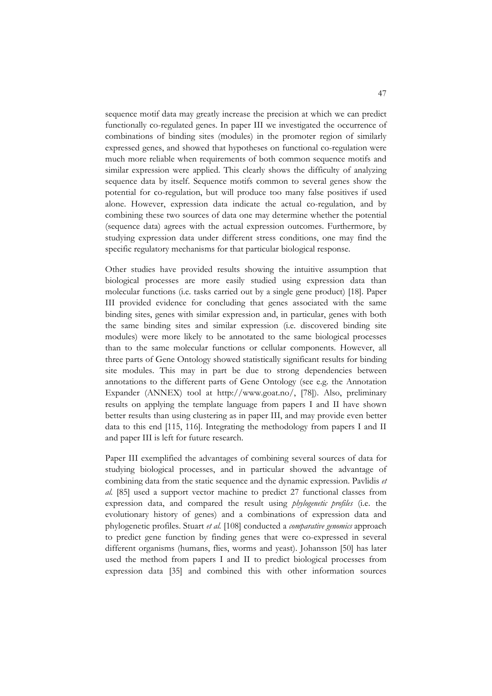sequence motif data may greatly increase the precision at which we can predict functionally co-regulated genes. In paper III we investigated the occurrence of combinations of binding sites (modules) in the promoter region of similarly expressed genes, and showed that hypotheses on functional co-regulation were much more reliable when requirements of both common sequence motifs and similar expression were applied. This clearly shows the difficulty of analyzing sequence data by itself. Sequence motifs common to several genes show the potential for co-regulation, but will produce too many false positives if used alone. However, expression data indicate the actual co-regulation, and by combining these two sources of data one may determine whether the potential (sequence data) agrees with the actual expression outcomes. Furthermore, by studying expression data under different stress conditions, one may find the specific regulatory mechanisms for that particular biological response.

Other studies have provided results showing the intuitive assumption that biological processes are more easily studied using expression data than molecular functions (i.e. tasks carried out by a single gene product) [18]. Paper III provided evidence for concluding that genes associated with the same binding sites, genes with similar expression and, in particular, genes with both the same binding sites and similar expression (i.e. discovered binding site modules) were more likely to be annotated to the same biological processes than to the same molecular functions or cellular components. However, all three parts of Gene Ontology showed statistically significant results for binding site modules. This may in part be due to strong dependencies between annotations to the different parts of Gene Ontology (see e.g. the Annotation Expander (ANNEX) tool at http://www.goat.no/, [78]). Also, preliminary results on applying the template language from papers I and II have shown better results than using clustering as in paper III, and may provide even better data to this end [115, 116]. Integrating the methodology from papers I and II and paper III is left for future research.

Paper III exemplified the advantages of combining several sources of data for studying biological processes, and in particular showed the advantage of combining data from the static sequence and the dynamic expression. Pavlidis *et al.* [85] used a support vector machine to predict 27 functional classes from expression data, and compared the result using *phylogenetic profiles* (i.e. the evolutionary history of genes) and a combinations of expression data and phylogenetic profiles. Stuart *et al.* [108] conducted a *comparative genomics* approach to predict gene function by finding genes that were co-expressed in several different organisms (humans, flies, worms and yeast). Johansson [50] has later used the method from papers I and II to predict biological processes from expression data [35] and combined this with other information sources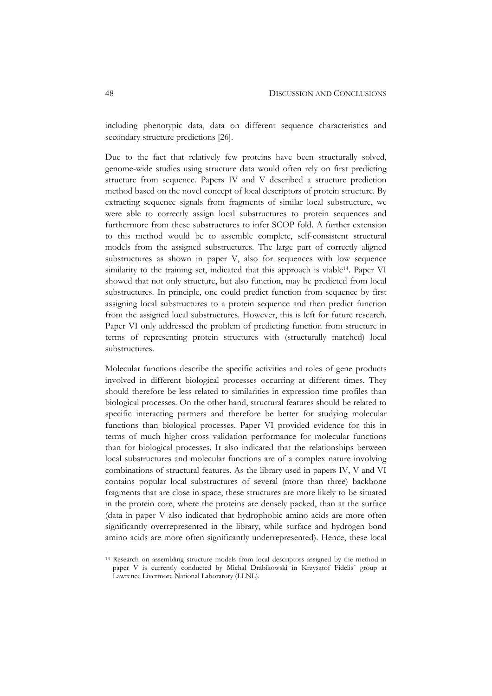including phenotypic data, data on different sequence characteristics and secondary structure predictions [26].

Due to the fact that relatively few proteins have been structurally solved, genome-wide studies using structure data would often rely on first predicting structure from sequence. Papers IV and V described a structure prediction method based on the novel concept of local descriptors of protein structure. By extracting sequence signals from fragments of similar local substructure, we were able to correctly assign local substructures to protein sequences and furthermore from these substructures to infer SCOP fold. A further extension to this method would be to assemble complete, self-consistent structural models from the assigned substructures. The large part of correctly aligned substructures as shown in paper V, also for sequences with low sequence similarity to the training set, indicated that this approach is viable<sup>14</sup>. Paper VI showed that not only structure, but also function, may be predicted from local substructures. In principle, one could predict function from sequence by first assigning local substructures to a protein sequence and then predict function from the assigned local substructures. However, this is left for future research. Paper VI only addressed the problem of predicting function from structure in terms of representing protein structures with (structurally matched) local substructures.

Molecular functions describe the specific activities and roles of gene products involved in different biological processes occurring at different times. They should therefore be less related to similarities in expression time profiles than biological processes. On the other hand, structural features should be related to specific interacting partners and therefore be better for studying molecular functions than biological processes. Paper VI provided evidence for this in terms of much higher cross validation performance for molecular functions than for biological processes. It also indicated that the relationships between local substructures and molecular functions are of a complex nature involving combinations of structural features. As the library used in papers IV, V and VI contains popular local substructures of several (more than three) backbone fragments that are close in space, these structures are more likely to be situated in the protein core, where the proteins are densely packed, than at the surface (data in paper V also indicated that hydrophobic amino acids are more often significantly overrepresented in the library, while surface and hydrogen bond amino acids are more often significantly underrepresented). Hence, these local

<sup>14</sup> Research on assembling structure models from local descriptors assigned by the method in paper V is currently conducted by Michal Drabikowski in Krzysztof Fidelis´ group at Lawrence Livermore National Laboratory (LLNL).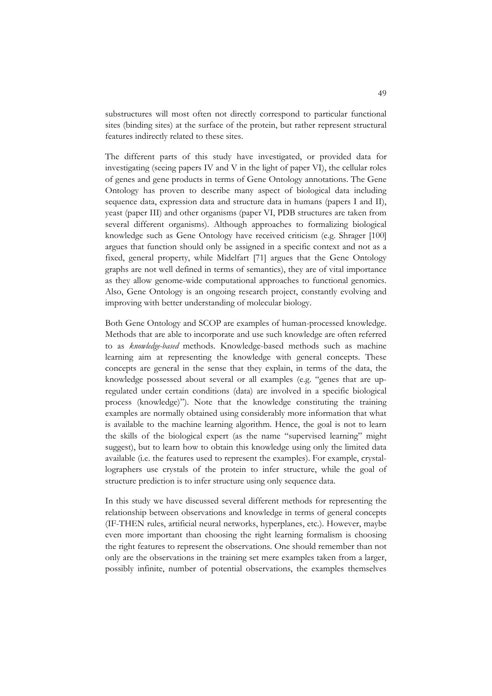substructures will most often not directly correspond to particular functional sites (binding sites) at the surface of the protein, but rather represent structural features indirectly related to these sites.

The different parts of this study have investigated, or provided data for investigating (seeing papers IV and V in the light of paper VI), the cellular roles of genes and gene products in terms of Gene Ontology annotations. The Gene Ontology has proven to describe many aspect of biological data including sequence data, expression data and structure data in humans (papers I and II), yeast (paper III) and other organisms (paper VI, PDB structures are taken from several different organisms). Although approaches to formalizing biological knowledge such as Gene Ontology have received criticism (e.g. Shrager [100] argues that function should only be assigned in a specific context and not as a fixed, general property, while Midelfart [71] argues that the Gene Ontology graphs are not well defined in terms of semantics), they are of vital importance as they allow genome-wide computational approaches to functional genomics. Also, Gene Ontology is an ongoing research project, constantly evolving and improving with better understanding of molecular biology.

Both Gene Ontology and SCOP are examples of human-processed knowledge. Methods that are able to incorporate and use such knowledge are often referred to as *knowledge-based* methods. Knowledge-based methods such as machine learning aim at representing the knowledge with general concepts. These concepts are general in the sense that they explain, in terms of the data, the knowledge possessed about several or all examples (e.g. "genes that are upregulated under certain conditions (data) are involved in a specific biological process (knowledge)"). Note that the knowledge constituting the training examples are normally obtained using considerably more information that what is available to the machine learning algorithm. Hence, the goal is not to learn the skills of the biological expert (as the name "supervised learning" might suggest), but to learn how to obtain this knowledge using only the limited data available (i.e. the features used to represent the examples). For example, crystallographers use crystals of the protein to infer structure, while the goal of structure prediction is to infer structure using only sequence data.

In this study we have discussed several different methods for representing the relationship between observations and knowledge in terms of general concepts (IF-THEN rules, artificial neural networks, hyperplanes, etc.). However, maybe even more important than choosing the right learning formalism is choosing the right features to represent the observations. One should remember than not only are the observations in the training set mere examples taken from a larger, possibly infinite, number of potential observations, the examples themselves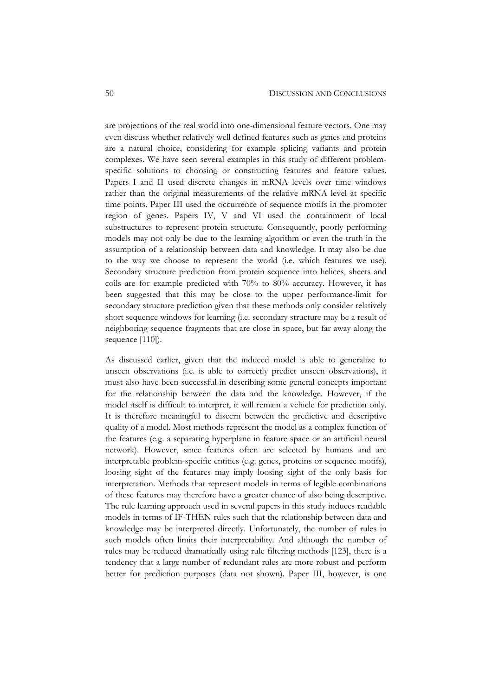are projections of the real world into one-dimensional feature vectors. One may even discuss whether relatively well defined features such as genes and proteins are a natural choice, considering for example splicing variants and protein complexes. We have seen several examples in this study of different problemspecific solutions to choosing or constructing features and feature values. Papers I and II used discrete changes in mRNA levels over time windows rather than the original measurements of the relative mRNA level at specific time points. Paper III used the occurrence of sequence motifs in the promoter region of genes. Papers IV, V and VI used the containment of local substructures to represent protein structure. Consequently, poorly performing models may not only be due to the learning algorithm or even the truth in the assumption of a relationship between data and knowledge. It may also be due to the way we choose to represent the world (i.e. which features we use). Secondary structure prediction from protein sequence into helices, sheets and coils are for example predicted with 70% to 80% accuracy. However, it has been suggested that this may be close to the upper performance-limit for secondary structure prediction given that these methods only consider relatively short sequence windows for learning (i.e. secondary structure may be a result of neighboring sequence fragments that are close in space, but far away along the sequence [110]).

As discussed earlier, given that the induced model is able to generalize to unseen observations (i.e. is able to correctly predict unseen observations), it must also have been successful in describing some general concepts important for the relationship between the data and the knowledge. However, if the model itself is difficult to interpret, it will remain a vehicle for prediction only. It is therefore meaningful to discern between the predictive and descriptive quality of a model. Most methods represent the model as a complex function of the features (e.g. a separating hyperplane in feature space or an artificial neural network). However, since features often are selected by humans and are interpretable problem-specific entities (e.g. genes, proteins or sequence motifs), loosing sight of the features may imply loosing sight of the only basis for interpretation. Methods that represent models in terms of legible combinations of these features may therefore have a greater chance of also being descriptive. The rule learning approach used in several papers in this study induces readable models in terms of IF-THEN rules such that the relationship between data and knowledge may be interpreted directly. Unfortunately, the number of rules in such models often limits their interpretability. And although the number of rules may be reduced dramatically using rule filtering methods [123], there is a tendency that a large number of redundant rules are more robust and perform better for prediction purposes (data not shown). Paper III, however, is one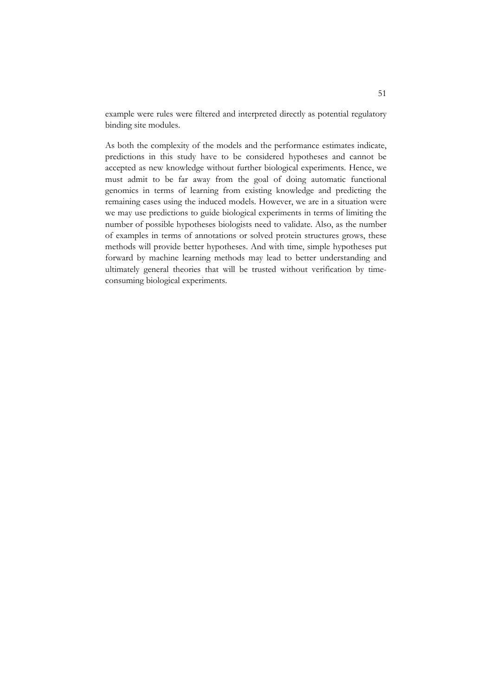example were rules were filtered and interpreted directly as potential regulatory binding site modules.

As both the complexity of the models and the performance estimates indicate, predictions in this study have to be considered hypotheses and cannot be accepted as new knowledge without further biological experiments. Hence, we must admit to be far away from the goal of doing automatic functional genomics in terms of learning from existing knowledge and predicting the remaining cases using the induced models. However, we are in a situation were we may use predictions to guide biological experiments in terms of limiting the number of possible hypotheses biologists need to validate. Also, as the number of examples in terms of annotations or solved protein structures grows, these methods will provide better hypotheses. And with time, simple hypotheses put forward by machine learning methods may lead to better understanding and ultimately general theories that will be trusted without verification by timeconsuming biological experiments.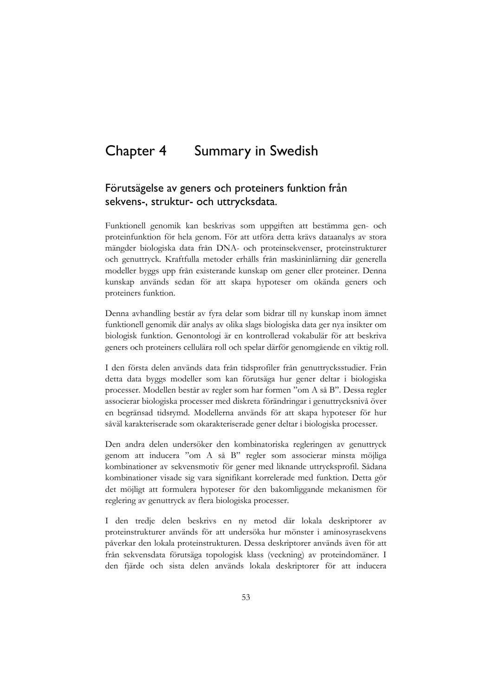# Chapter 4 Summary in Swedish

## Förutsägelse av geners och proteiners funktion från sekvens-, struktur- och uttrycksdata.

Funktionell genomik kan beskrivas som uppgiften att bestämma gen- och proteinfunktion för hela genom. För att utföra detta krävs dataanalys av stora mängder biologiska data från DNA- och proteinsekvenser, proteinstrukturer och genuttryck. Kraftfulla metoder erhålls från maskininlärning där generella modeller byggs upp från existerande kunskap om gener eller proteiner. Denna kunskap används sedan för att skapa hypoteser om okända geners och proteiners funktion.

Denna avhandling består av fyra delar som bidrar till ny kunskap inom ämnet funktionell genomik där analys av olika slags biologiska data ger nya insikter om biologisk funktion. Genontologi är en kontrollerad vokabulär för att beskriva geners och proteiners cellulära roll och spelar därför genomgående en viktig roll.

I den första delen används data från tidsprofiler från genuttrycksstudier. Från detta data byggs modeller som kan förutsäga hur gener deltar i biologiska processer. Modellen består av regler som har formen "om A så B". Dessa regler associerar biologiska processer med diskreta förändringar i genuttrycksnivå över en begränsad tidsrymd. Modellerna används för att skapa hypoteser för hur såväl karakteriserade som okarakteriserade gener deltar i biologiska processer.

Den andra delen undersöker den kombinatoriska regleringen av genuttryck genom att inducera "om A så B" regler som associerar minsta möjliga kombinationer av sekvensmotiv för gener med liknande uttrycksprofil. Sådana kombinationer visade sig vara signifikant korrelerade med funktion. Detta gör det möjligt att formulera hypoteser för den bakomliggande mekanismen för reglering av genuttryck av flera biologiska processer.

I den tredje delen beskrivs en ny metod där lokala deskriptorer av proteinstrukturer används för att undersöka hur mönster i aminosyrasekvens påverkar den lokala proteinstrukturen. Dessa deskriptorer används även för att från sekvensdata förutsäga topologisk klass (veckning) av proteindomäner. I den fjärde och sista delen används lokala deskriptorer för att inducera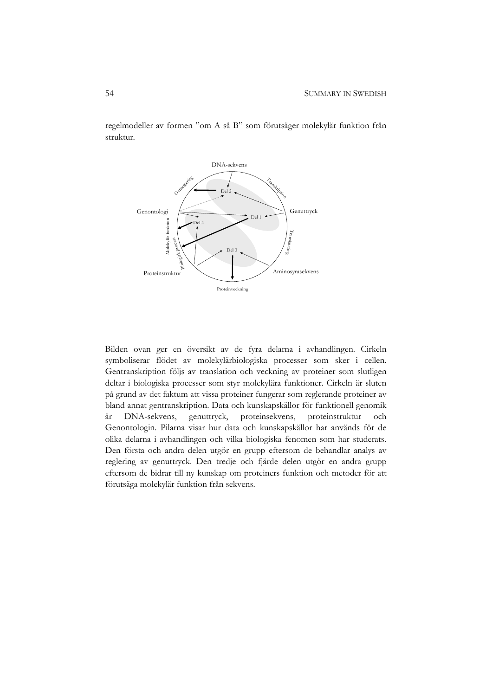regelmodeller av formen "om A så B" som förutsäger molekylär funktion från struktur.



Bilden ovan ger en översikt av de fyra delarna i avhandlingen. Cirkeln symboliserar flödet av molekylärbiologiska processer som sker i cellen. Gentranskription följs av translation och veckning av proteiner som slutligen deltar i biologiska processer som styr molekylära funktioner. Cirkeln är sluten på grund av det faktum att vissa proteiner fungerar som reglerande proteiner av bland annat gentranskription. Data och kunskapskällor för funktionell genomik är DNA-sekvens, genuttryck, proteinsekvens, proteinstruktur och Genontologin. Pilarna visar hur data och kunskapskällor har används för de olika delarna i avhandlingen och vilka biologiska fenomen som har studerats. Den första och andra delen utgör en grupp eftersom de behandlar analys av reglering av genuttryck. Den tredje och fjärde delen utgör en andra grupp eftersom de bidrar till ny kunskap om proteiners funktion och metoder för att förutsäga molekylär funktion från sekvens.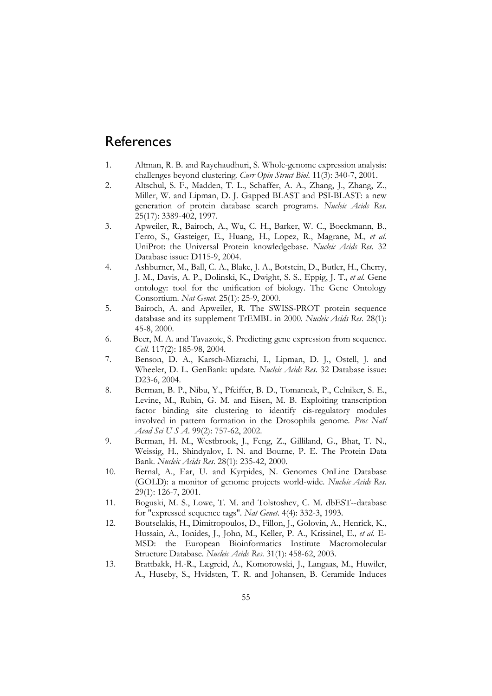# **References**

- 1. Altman, R. B. and Raychaudhuri, S. Whole-genome expression analysis: challenges beyond clustering*. Curr Opin Struct Biol*. 11(3): 340-7, 2001.
- 2. Altschul, S. F., Madden, T. L., Schaffer, A. A., Zhang, J., Zhang, Z., Miller, W. and Lipman, D. J. Gapped BLAST and PSI-BLAST: a new generation of protein database search programs*. Nucleic Acids Res*. 25(17): 3389-402, 1997.
- 3. Apweiler, R., Bairoch, A., Wu, C. H., Barker, W. C., Boeckmann, B., Ferro, S., Gasteiger, E., Huang, H., Lopez, R., Magrane, M.*, et al.* UniProt: the Universal Protein knowledgebase*. Nucleic Acids Res*. 32 Database issue: D115-9, 2004.
- 4. Ashburner, M., Ball, C. A., Blake, J. A., Botstein, D., Butler, H., Cherry, J. M., Davis, A. P., Dolinski, K., Dwight, S. S., Eppig, J. T.*, et al.* Gene ontology: tool for the unification of biology. The Gene Ontology Consortium*. Nat Genet*. 25(1): 25-9, 2000.
- 5. Bairoch, A. and Apweiler, R. The SWISS-PROT protein sequence database and its supplement TrEMBL in 2000*. Nucleic Acids Res*. 28(1): 45-8, 2000.
- 6. Beer, M. A. and Tavazoie, S. Predicting gene expression from sequence*. Cell*. 117(2): 185-98, 2004.
- 7. Benson, D. A., Karsch-Mizrachi, I., Lipman, D. J., Ostell, J. and Wheeler, D. L. GenBank: update*. Nucleic Acids Res*. 32 Database issue: D23-6, 2004.
- 8. Berman, B. P., Nibu, Y., Pfeiffer, B. D., Tomancak, P., Celniker, S. E., Levine, M., Rubin, G. M. and Eisen, M. B. Exploiting transcription factor binding site clustering to identify cis-regulatory modules involved in pattern formation in the Drosophila genome*. Proc Natl Acad Sci U S A*. 99(2): 757-62, 2002.
- 9. Berman, H. M., Westbrook, J., Feng, Z., Gilliland, G., Bhat, T. N., Weissig, H., Shindyalov, I. N. and Bourne, P. E. The Protein Data Bank*. Nucleic Acids Res*. 28(1): 235-42, 2000.
- 10. Bernal, A., Ear, U. and Kyrpides, N. Genomes OnLine Database (GOLD): a monitor of genome projects world-wide*. Nucleic Acids Res*. 29(1): 126-7, 2001.
- 11. Boguski, M. S., Lowe, T. M. and Tolstoshev, C. M. dbEST--database for "expressed sequence tags"*. Nat Genet*. 4(4): 332-3, 1993.
- 12. Boutselakis, H., Dimitropoulos, D., Fillon, J., Golovin, A., Henrick, K., Hussain, A., Ionides, J., John, M., Keller, P. A., Krissinel, E.*, et al.* E-MSD: the European Bioinformatics Institute Macromolecular Structure Database*. Nucleic Acids Res*. 31(1): 458-62, 2003.
- 13. Brattbakk, H.-R., Lægreid, A., Komorowski, J., Langaas, M., Huwiler, A., Huseby, S., Hvidsten, T. R. and Johansen, B. Ceramide Induces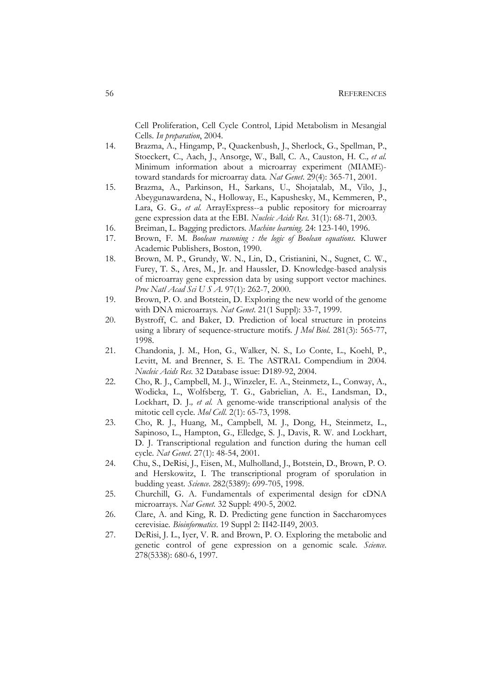Cell Proliferation, Cell Cycle Control, Lipid Metabolism in Mesangial Cells*. In preparation*, 2004.

- 14. Brazma, A., Hingamp, P., Quackenbush, J., Sherlock, G., Spellman, P., Stoeckert, C., Aach, J., Ansorge, W., Ball, C. A., Causton, H. C.*, et al.* Minimum information about a microarray experiment (MIAME) toward standards for microarray data*. Nat Genet*. 29(4): 365-71, 2001.
- 15. Brazma, A., Parkinson, H., Sarkans, U., Shojatalab, M., Vilo, J., Abeygunawardena, N., Holloway, E., Kapushesky, M., Kemmeren, P., Lara, G. G.*, et al.* ArrayExpress--a public repository for microarray gene expression data at the EBI*. Nucleic Acids Res*. 31(1): 68-71, 2003.
- 16. Breiman, L. Bagging predictors*. Machine learning*. 24: 123-140, 1996.
- 17. Brown, F. M. *Boolean reasoning : the logic of Boolean equations*. Kluwer Academic Publishers, Boston, 1990.
- 18. Brown, M. P., Grundy, W. N., Lin, D., Cristianini, N., Sugnet, C. W., Furey, T. S., Ares, M., Jr. and Haussler, D. Knowledge-based analysis of microarray gene expression data by using support vector machines*. Proc Natl Acad Sci U S A*. 97(1): 262-7, 2000.
- 19. Brown, P. O. and Botstein, D. Exploring the new world of the genome with DNA microarrays*. Nat Genet*. 21(1 Suppl): 33-7, 1999.
- 20. Bystroff, C. and Baker, D. Prediction of local structure in proteins using a library of sequence-structure motifs*. J Mol Biol*. 281(3): 565-77, 1998.
- 21. Chandonia, J. M., Hon, G., Walker, N. S., Lo Conte, L., Koehl, P., Levitt, M. and Brenner, S. E. The ASTRAL Compendium in 2004*. Nucleic Acids Res*. 32 Database issue: D189-92, 2004.
- 22. Cho, R. J., Campbell, M. J., Winzeler, E. A., Steinmetz, L., Conway, A., Wodicka, L., Wolfsberg, T. G., Gabrielian, A. E., Landsman, D., Lockhart, D. J.*, et al.* A genome-wide transcriptional analysis of the mitotic cell cycle*. Mol Cell*. 2(1): 65-73, 1998.
- 23. Cho, R. J., Huang, M., Campbell, M. J., Dong, H., Steinmetz, L., Sapinoso, L., Hampton, G., Elledge, S. J., Davis, R. W. and Lockhart, D. J. Transcriptional regulation and function during the human cell cycle*. Nat Genet*. 27(1): 48-54, 2001.
- 24. Chu, S., DeRisi, J., Eisen, M., Mulholland, J., Botstein, D., Brown, P. O. and Herskowitz, I. The transcriptional program of sporulation in budding yeast*. Science*. 282(5389): 699-705, 1998.
- 25. Churchill, G. A. Fundamentals of experimental design for cDNA microarrays*. Nat Genet*. 32 Suppl: 490-5, 2002.
- 26. Clare, A. and King, R. D. Predicting gene function in Saccharomyces cerevisiae*. Bioinformatics*. 19 Suppl 2: II42-II49, 2003.
- 27. DeRisi, J. L., Iyer, V. R. and Brown, P. O. Exploring the metabolic and genetic control of gene expression on a genomic scale*. Science*. 278(5338): 680-6, 1997.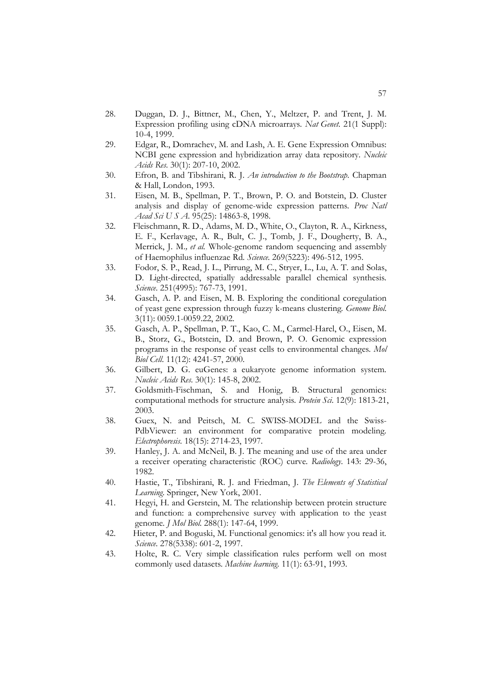- 28. Duggan, D. J., Bittner, M., Chen, Y., Meltzer, P. and Trent, J. M. Expression profiling using cDNA microarrays*. Nat Genet*. 21(1 Suppl): 10-4, 1999.
- 29. Edgar, R., Domrachev, M. and Lash, A. E. Gene Expression Omnibus: NCBI gene expression and hybridization array data repository*. Nucleic Acids Res*. 30(1): 207-10, 2002.
- 30. Efron, B. and Tibshirani, R. J. *An introduction to the Bootstrap*. Chapman & Hall, London, 1993.
- 31. Eisen, M. B., Spellman, P. T., Brown, P. O. and Botstein, D. Cluster analysis and display of genome-wide expression patterns*. Proc Natl Acad Sci U S A*. 95(25): 14863-8, 1998.
- 32. Fleischmann, R. D., Adams, M. D., White, O., Clayton, R. A., Kirkness, E. F., Kerlavage, A. R., Bult, C. J., Tomb, J. F., Dougherty, B. A., Merrick, J. M.*, et al.* Whole-genome random sequencing and assembly of Haemophilus influenzae Rd*. Science*. 269(5223): 496-512, 1995.
- 33. Fodor, S. P., Read, J. L., Pirrung, M. C., Stryer, L., Lu, A. T. and Solas, D. Light-directed, spatially addressable parallel chemical synthesis*. Science*. 251(4995): 767-73, 1991.
- 34. Gasch, A. P. and Eisen, M. B. Exploring the conditional coregulation of yeast gene expression through fuzzy k-means clustering*. Genome Biol*. 3(11): 0059.1-0059.22, 2002.
- 35. Gasch, A. P., Spellman, P. T., Kao, C. M., Carmel-Harel, O., Eisen, M. B., Storz, G., Botstein, D. and Brown, P. O. Genomic expression programs in the response of yeast cells to environmental changes*. Mol Biol Cell*. 11(12): 4241-57, 2000.
- 36. Gilbert, D. G. euGenes: a eukaryote genome information system*. Nucleic Acids Res*. 30(1): 145-8, 2002.
- 37. Goldsmith-Fischman, S. and Honig, B. Structural genomics: computational methods for structure analysis*. Protein Sci*. 12(9): 1813-21, 2003.
- 38. Guex, N. and Peitsch, M. C. SWISS-MODEL and the Swiss-PdbViewer: an environment for comparative protein modeling*. Electrophoresis*. 18(15): 2714-23, 1997.
- 39. Hanley, J. A. and McNeil, B. J. The meaning and use of the area under a receiver operating characteristic (ROC) curve*. Radiology*. 143: 29-36, 1982.
- 40. Hastie, T., Tibshirani, R. J. and Friedman, J. *The Elements of Statistical Learning*. Springer, New York, 2001.
- 41. Hegyi, H. and Gerstein, M. The relationship between protein structure and function: a comprehensive survey with application to the yeast genome*. J Mol Biol*. 288(1): 147-64, 1999.
- 42. Hieter, P. and Boguski, M. Functional genomics: it's all how you read it*. Science*. 278(5338): 601-2, 1997.
- 43. Holte, R. C. Very simple classification rules perform well on most commonly used datasets*. Machine learning*. 11(1): 63-91, 1993.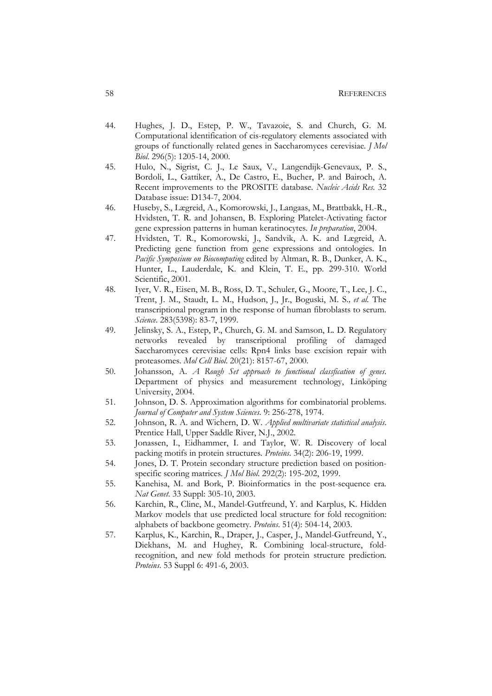- 44. Hughes, J. D., Estep, P. W., Tavazoie, S. and Church, G. M. Computational identification of cis-regulatory elements associated with groups of functionally related genes in Saccharomyces cerevisiae*. J Mol Biol*. 296(5): 1205-14, 2000.
- 45. Hulo, N., Sigrist, C. J., Le Saux, V., Langendijk-Genevaux, P. S., Bordoli, L., Gattiker, A., De Castro, E., Bucher, P. and Bairoch, A. Recent improvements to the PROSITE database*. Nucleic Acids Res*. 32 Database issue: D134-7, 2004.
- 46. Huseby, S., Lægreid, A., Komorowski, J., Langaas, M., Brattbakk, H.-R., Hvidsten, T. R. and Johansen, B. Exploring Platelet-Activating factor gene expression patterns in human keratinocytes*. In preparation*, 2004.
- 47. Hvidsten, T. R., Komorowski, J., Sandvik, A. K. and Lægreid, A. Predicting gene function from gene expressions and ontologies. In *Pacific Symposium on Biocomputing* edited by Altman, R. B., Dunker, A. K., Hunter, L., Lauderdale, K. and Klein, T. E., pp. 299-310. World Scientific, 2001.
- 48. Iyer, V. R., Eisen, M. B., Ross, D. T., Schuler, G., Moore, T., Lee, J. C., Trent, J. M., Staudt, L. M., Hudson, J., Jr., Boguski, M. S.*, et al.* The transcriptional program in the response of human fibroblasts to serum*. Science*. 283(5398): 83-7, 1999.
- 49. Jelinsky, S. A., Estep, P., Church, G. M. and Samson, L. D. Regulatory networks revealed by transcriptional profiling of damaged Saccharomyces cerevisiae cells: Rpn4 links base excision repair with proteasomes*. Mol Cell Biol*. 20(21): 8157-67, 2000.
- 50. Johansson, A. *A Rough Set approach to functional classfication of genes*. Department of physics and measurement technology, Linköping University, 2004.
- 51. Johnson, D. S. Approximation algorithms for combinatorial problems*. Journal of Computer and System Sciences*. 9: 256-278, 1974.
- 52. Johnson, R. A. and Wichern, D. W. *Applied multivariate statistical analysis*. Prentice Hall, Upper Saddle River, N.J., 2002.
- 53. Jonassen, I., Eidhammer, I. and Taylor, W. R. Discovery of local packing motifs in protein structures*. Proteins*. 34(2): 206-19, 1999.
- 54. Jones, D. T. Protein secondary structure prediction based on positionspecific scoring matrices*. J Mol Biol*. 292(2): 195-202, 1999.
- 55. Kanehisa, M. and Bork, P. Bioinformatics in the post-sequence era*. Nat Genet*. 33 Suppl: 305-10, 2003.
- 56. Karchin, R., Cline, M., Mandel-Gutfreund, Y. and Karplus, K. Hidden Markov models that use predicted local structure for fold recognition: alphabets of backbone geometry*. Proteins*. 51(4): 504-14, 2003.
- 57. Karplus, K., Karchin, R., Draper, J., Casper, J., Mandel-Gutfreund, Y., Diekhans, M. and Hughey, R. Combining local-structure, foldrecognition, and new fold methods for protein structure prediction*. Proteins*. 53 Suppl 6: 491-6, 2003.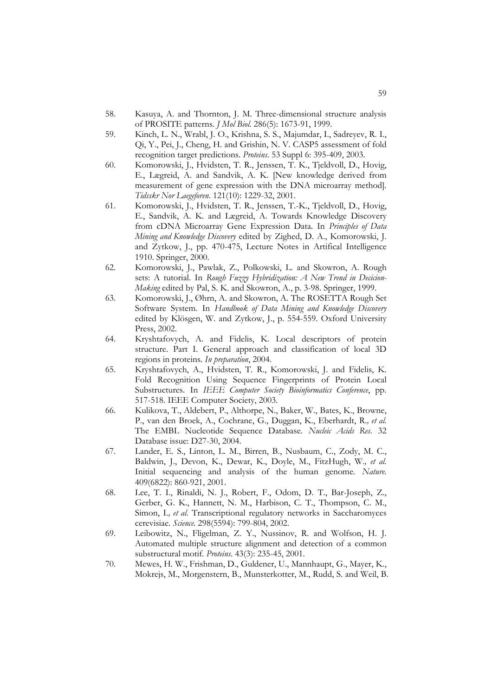- 58. Kasuya, A. and Thornton, J. M. Three-dimensional structure analysis of PROSITE patterns*. J Mol Biol*. 286(5): 1673-91, 1999.
- 59. Kinch, L. N., Wrabl, J. O., Krishna, S. S., Majumdar, I., Sadreyev, R. I., Qi, Y., Pei, J., Cheng, H. and Grishin, N. V. CASP5 assessment of fold recognition target predictions*. Proteins*. 53 Suppl 6: 395-409, 2003.
- 60. Komorowski, J., Hvidsten, T. R., Jenssen, T. K., Tjeldvoll, D., Hovig, E., Lægreid, A. and Sandvik, A. K. [New knowledge derived from measurement of gene expression with the DNA microarray method]*. Tidsskr Nor Laegeforen*. 121(10): 1229-32, 2001.
- 61. Komorowski, J., Hvidsten, T. R., Jenssen, T.-K., Tjeldvoll, D., Hovig, E., Sandvik, A. K. and Lægreid, A. Towards Knowledge Discovery from cDNA Microarray Gene Expression Data. In *Principles of Data Mining and Knowledge Discovery* edited by Zighed, D. A., Komorowski, J. and Zytkow, J., pp. 470-475, Lecture Notes in Artifical Intelligence 1910. Springer, 2000.
- 62. Komorowski, J., Pawlak, Z., Polkowski, L. and Skowron, A. Rough sets: A tutorial. In *Rough Fuzzy Hybridization: A New Trend in Decicion-Making* edited by Pal, S. K. and Skowron, A., p. 3-98. Springer, 1999.
- 63. Komorowski, J., Øhrn, A. and Skowron, A. The ROSETTA Rough Set Software System. In *Handbook of Data Mining and Knowledge Discovery* edited by Klösgen, W. and Zytkow, J., p. 554-559. Oxford University Press, 2002.
- 64. Kryshtafovych, A. and Fidelis, K. Local descriptors of protein structure. Part I. General approach and classification of local 3D regions in proteins*. In preparation*, 2004.
- 65. Kryshtafovych, A., Hvidsten, T. R., Komorowski, J. and Fidelis, K. Fold Recognition Using Sequence Fingerprints of Protein Local Substructures. In *IEEE Computer Society Bioinformatics Conference*, pp. 517-518. IEEE Computer Society, 2003.
- 66. Kulikova, T., Aldebert, P., Althorpe, N., Baker, W., Bates, K., Browne, P., van den Broek, A., Cochrane, G., Duggan, K., Eberhardt, R.*, et al.* The EMBL Nucleotide Sequence Database*. Nucleic Acids Res*. 32 Database issue: D27-30, 2004.
- 67. Lander, E. S., Linton, L. M., Birren, B., Nusbaum, C., Zody, M. C., Baldwin, J., Devon, K., Dewar, K., Doyle, M., FitzHugh, W.*, et al.* Initial sequencing and analysis of the human genome*. Nature*. 409(6822): 860-921, 2001.
- 68. Lee, T. I., Rinaldi, N. J., Robert, F., Odom, D. T., Bar-Joseph, Z., Gerber, G. K., Hannett, N. M., Harbison, C. T., Thompson, C. M., Simon, I.*, et al.* Transcriptional regulatory networks in Saccharomyces cerevisiae*. Science*. 298(5594): 799-804, 2002.
- 69. Leibowitz, N., Fligelman, Z. Y., Nussinov, R. and Wolfson, H. J. Automated multiple structure alignment and detection of a common substructural motif*. Proteins*. 43(3): 235-45, 2001.
- 70. Mewes, H. W., Frishman, D., Guldener, U., Mannhaupt, G., Mayer, K., Mokrejs, M., Morgenstern, B., Munsterkotter, M., Rudd, S. and Weil, B.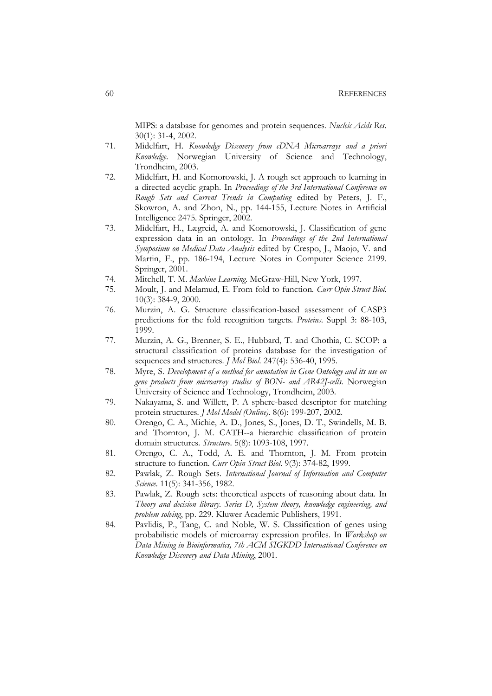MIPS: a database for genomes and protein sequences*. Nucleic Acids Res*. 30(1): 31-4, 2002.

- 71. Midelfart, H. *Knowledge Discovery from cDNA Microarrays and a priori Knowledge*. Norwegian University of Science and Technology, Trondheim, 2003.
- 72. Midelfart, H. and Komorowski, J. A rough set approach to learning in a directed acyclic graph. In *Proceedings of the 3rd International Conference on Rough Sets and Current Trends in Computing* edited by Peters, J. F., Skowron, A. and Zhon, N., pp. 144-155, Lecture Notes in Artificial Intelligence 2475. Springer, 2002.
- 73. Midelfart, H., Lægreid, A. and Komorowski, J. Classification of gene expression data in an ontology. In *Proceedings of the 2nd International Symposium on Medical Data Analysis* edited by Crespo, J., Maojo, V. and Martin, F., pp. 186-194, Lecture Notes in Computer Science 2199. Springer, 2001.
- 74. Mitchell, T. M. *Machine Learning*. McGraw-Hill, New York, 1997.
- 75. Moult, J. and Melamud, E. From fold to function*. Curr Opin Struct Biol*. 10(3): 384-9, 2000.
- 76. Murzin, A. G. Structure classification-based assessment of CASP3 predictions for the fold recognition targets*. Proteins*. Suppl 3: 88-103, 1999.
- 77. Murzin, A. G., Brenner, S. E., Hubbard, T. and Chothia, C. SCOP: a structural classification of proteins database for the investigation of sequences and structures*. J Mol Biol*. 247(4): 536-40, 1995.
- 78. Myre, S. *Development of a method for annotation in Gene Ontology and its use on gene products from microarray studies of BON- and AR42J-cells*. Norwegian University of Science and Technology, Trondheim, 2003.
- 79. Nakayama, S. and Willett, P. A sphere-based descriptor for matching protein structures*. J Mol Model (Online)*. 8(6): 199-207, 2002.
- 80. Orengo, C. A., Michie, A. D., Jones, S., Jones, D. T., Swindells, M. B. and Thornton, J. M. CATH--a hierarchic classification of protein domain structures*. Structure*. 5(8): 1093-108, 1997.
- 81. Orengo, C. A., Todd, A. E. and Thornton, J. M. From protein structure to function*. Curr Opin Struct Biol*. 9(3): 374-82, 1999.
- 82. Pawlak, Z. Rough Sets*. International Journal of Information and Computer Science*. 11(5): 341-356, 1982.
- 83. Pawlak, Z. Rough sets: theoretical aspects of reasoning about data. In *Theory and decision library. Series D, System theory, knowledge engineering, and problem solving*, pp. 229. Kluwer Academic Publishers, 1991.
- 84. Pavlidis, P., Tang, C. and Noble, W. S. Classification of genes using probabilistic models of microarray expression profiles. In *Workshop on Data Mining in Bioinformatics, 7th ACM SIGKDD International Conference on Knowledge Discovery and Data Mining*, 2001.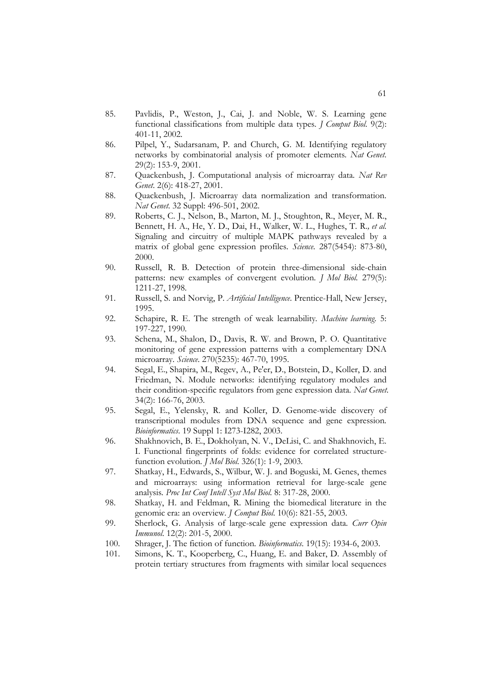- 85. Pavlidis, P., Weston, J., Cai, J. and Noble, W. S. Learning gene functional classifications from multiple data types*. J Comput Biol*. 9(2): 401-11, 2002.
- 86. Pilpel, Y., Sudarsanam, P. and Church, G. M. Identifying regulatory networks by combinatorial analysis of promoter elements*. Nat Genet*. 29(2): 153-9, 2001.
- 87. Quackenbush, J. Computational analysis of microarray data*. Nat Rev Genet*. 2(6): 418-27, 2001.
- 88. Quackenbush, J. Microarray data normalization and transformation*. Nat Genet*. 32 Suppl: 496-501, 2002.
- 89. Roberts, C. J., Nelson, B., Marton, M. J., Stoughton, R., Meyer, M. R., Bennett, H. A., He, Y. D., Dai, H., Walker, W. L., Hughes, T. R.*, et al.* Signaling and circuitry of multiple MAPK pathways revealed by a matrix of global gene expression profiles*. Science*. 287(5454): 873-80, 2000.
- 90. Russell, R. B. Detection of protein three-dimensional side-chain patterns: new examples of convergent evolution*. J Mol Biol*. 279(5): 1211-27, 1998.
- 91. Russell, S. and Norvig, P. *Artificial Intelligence*. Prentice-Hall, New Jersey, 1995.
- 92. Schapire, R. E. The strength of weak learnability*. Machine learning*. 5: 197-227, 1990.
- 93. Schena, M., Shalon, D., Davis, R. W. and Brown, P. O. Quantitative monitoring of gene expression patterns with a complementary DNA microarray*. Science*. 270(5235): 467-70, 1995.
- 94. Segal, E., Shapira, M., Regev, A., Pe'er, D., Botstein, D., Koller, D. and Friedman, N. Module networks: identifying regulatory modules and their condition-specific regulators from gene expression data*. Nat Genet*. 34(2): 166-76, 2003.
- 95. Segal, E., Yelensky, R. and Koller, D. Genome-wide discovery of transcriptional modules from DNA sequence and gene expression*. Bioinformatics*. 19 Suppl 1: I273-I282, 2003.
- 96. Shakhnovich, B. E., Dokholyan, N. V., DeLisi, C. and Shakhnovich, E. I. Functional fingerprints of folds: evidence for correlated structurefunction evolution*. J Mol Biol*. 326(1): 1-9, 2003.
- 97. Shatkay, H., Edwards, S., Wilbur, W. J. and Boguski, M. Genes, themes and microarrays: using information retrieval for large-scale gene analysis*. Proc Int Conf Intell Syst Mol Biol*. 8: 317-28, 2000.
- 98. Shatkay, H. and Feldman, R. Mining the biomedical literature in the genomic era: an overview*. J Comput Biol*. 10(6): 821-55, 2003.
- 99. Sherlock, G. Analysis of large-scale gene expression data*. Curr Opin Immunol*. 12(2): 201-5, 2000.
- 100. Shrager, J. The fiction of function*. Bioinformatics*. 19(15): 1934-6, 2003.
- 101. Simons, K. T., Kooperberg, C., Huang, E. and Baker, D. Assembly of protein tertiary structures from fragments with similar local sequences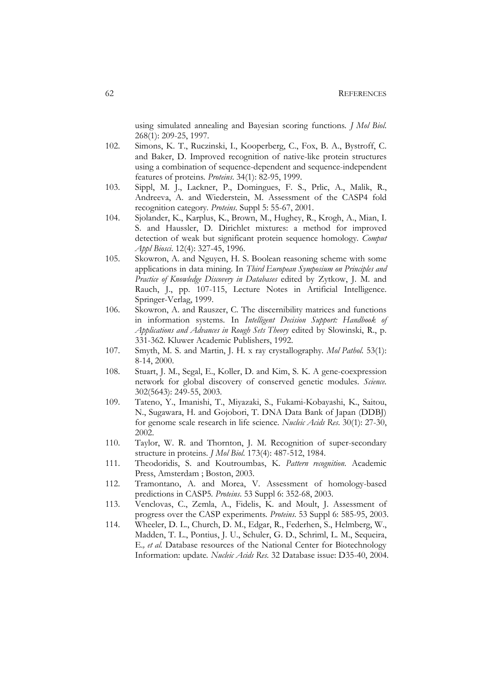using simulated annealing and Bayesian scoring functions*. J Mol Biol*. 268(1): 209-25, 1997.

- 102. Simons, K. T., Ruczinski, I., Kooperberg, C., Fox, B. A., Bystroff, C. and Baker, D. Improved recognition of native-like protein structures using a combination of sequence-dependent and sequence-independent features of proteins*. Proteins*. 34(1): 82-95, 1999.
- 103. Sippl, M. J., Lackner, P., Domingues, F. S., Prlic, A., Malik, R., Andreeva, A. and Wiederstein, M. Assessment of the CASP4 fold recognition category*. Proteins*. Suppl 5: 55-67, 2001.
- 104. Sjolander, K., Karplus, K., Brown, M., Hughey, R., Krogh, A., Mian, I. S. and Haussler, D. Dirichlet mixtures: a method for improved detection of weak but significant protein sequence homology*. Comput Appl Biosci*. 12(4): 327-45, 1996.
- 105. Skowron, A. and Nguyen, H. S. Boolean reasoning scheme with some applications in data mining. In *Third European Symposium on Principles and Practice of Knowledge Discovery in Databases* edited by Zytkow, J. M. and Rauch, J., pp. 107-115, Lecture Notes in Artificial Intelligence. Springer-Verlag, 1999.
- 106. Skowron, A. and Rauszer, C. The discernibility matrices and functions in information systems. In *Intelligent Decision Support: Handbook of Applications and Advances in Rough Sets Theory* edited by Slowinski, R., p. 331-362. Kluwer Academic Publishers, 1992.
- 107. Smyth, M. S. and Martin, J. H. x ray crystallography*. Mol Pathol*. 53(1): 8-14, 2000.
- 108. Stuart, J. M., Segal, E., Koller, D. and Kim, S. K. A gene-coexpression network for global discovery of conserved genetic modules*. Science*. 302(5643): 249-55, 2003.
- 109. Tateno, Y., Imanishi, T., Miyazaki, S., Fukami-Kobayashi, K., Saitou, N., Sugawara, H. and Gojobori, T. DNA Data Bank of Japan (DDBJ) for genome scale research in life science*. Nucleic Acids Res*. 30(1): 27-30, 2002.
- 110. Taylor, W. R. and Thornton, J. M. Recognition of super-secondary structure in proteins*. J Mol Biol*. 173(4): 487-512, 1984.
- 111. Theodoridis, S. and Koutroumbas, K. *Pattern recognition*. Academic Press, Amsterdam ; Boston, 2003.
- 112. Tramontano, A. and Morea, V. Assessment of homology-based predictions in CASP5*. Proteins*. 53 Suppl 6: 352-68, 2003.
- 113. Venclovas, C., Zemla, A., Fidelis, K. and Moult, J. Assessment of progress over the CASP experiments*. Proteins*. 53 Suppl 6: 585-95, 2003.
- 114. Wheeler, D. L., Church, D. M., Edgar, R., Federhen, S., Helmberg, W., Madden, T. L., Pontius, J. U., Schuler, G. D., Schriml, L. M., Sequeira, E.*, et al.* Database resources of the National Center for Biotechnology Information: update*. Nucleic Acids Res*. 32 Database issue: D35-40, 2004.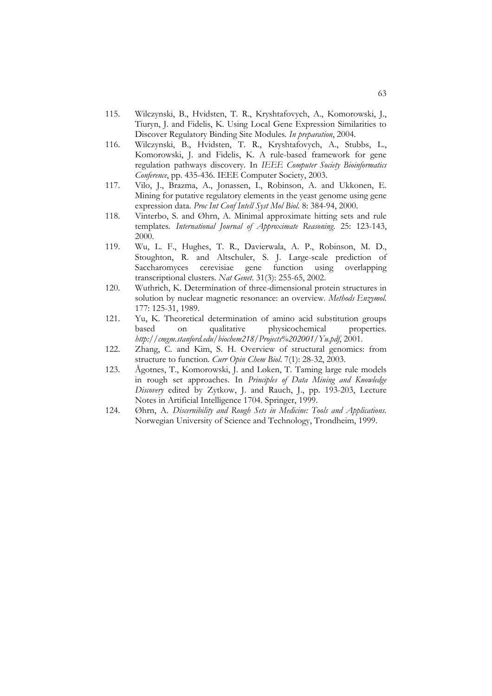- 115. Wilczynski, B., Hvidsten, T. R., Kryshtafovych, A., Komorowski, J., Tiuryn, J. and Fidelis, K. Using Local Gene Expression Similarities to Discover Regulatory Binding Site Modules*. In preparation*, 2004.
- 116. Wilczynski, B., Hvidsten, T. R., Kryshtafovych, A., Stubbs, L., Komorowski, J. and Fidelis, K. A rule-based framework for gene regulation pathways discovery. In *IEEE Computer Society Bioinformatics Conference*, pp. 435-436. IEEE Computer Society, 2003.
- 117. Vilo, J., Brazma, A., Jonassen, I., Robinson, A. and Ukkonen, E. Mining for putative regulatory elements in the yeast genome using gene expression data*. Proc Int Conf Intell Syst Mol Biol*. 8: 384-94, 2000.
- 118. Vinterbo, S. and Øhrn, A. Minimal approximate hitting sets and rule templates*. International Journal of Approximate Reasoning*. 25: 123-143, 2000.
- 119. Wu, L. F., Hughes, T. R., Davierwala, A. P., Robinson, M. D., Stoughton, R. and Altschuler, S. J. Large-scale prediction of Saccharomyces cerevisiae gene function using overlapping transcriptional clusters*. Nat Genet*. 31(3): 255-65, 2002.
- 120. Wuthrich, K. Determination of three-dimensional protein structures in solution by nuclear magnetic resonance: an overview*. Methods Enzymol*. 177: 125-31, 1989.
- 121. Yu, K. Theoretical determination of amino acid substitution groups based on qualitative physicochemical properties*. http://cmgm.stanford.edu/biochem218/Projects%202001/Yu.pdf*, 2001.
- 122. Zhang, C. and Kim, S. H. Overview of structural genomics: from structure to function*. Curr Opin Chem Biol*. 7(1): 28-32, 2003.
- 123. Ågotnes, T., Komorowski, J. and Løken, T. Taming large rule models in rough set approaches. In *Principles of Data Mining and Knowledge Discovery* edited by Zytkow, J. and Rauch, J., pp. 193-203, Lecture Notes in Artificial Intelligence 1704. Springer, 1999.
- 124. Øhrn, A. *Discernibility and Rough Sets in Medicine: Tools and Applications*. Norwegian University of Science and Technology, Trondheim, 1999.